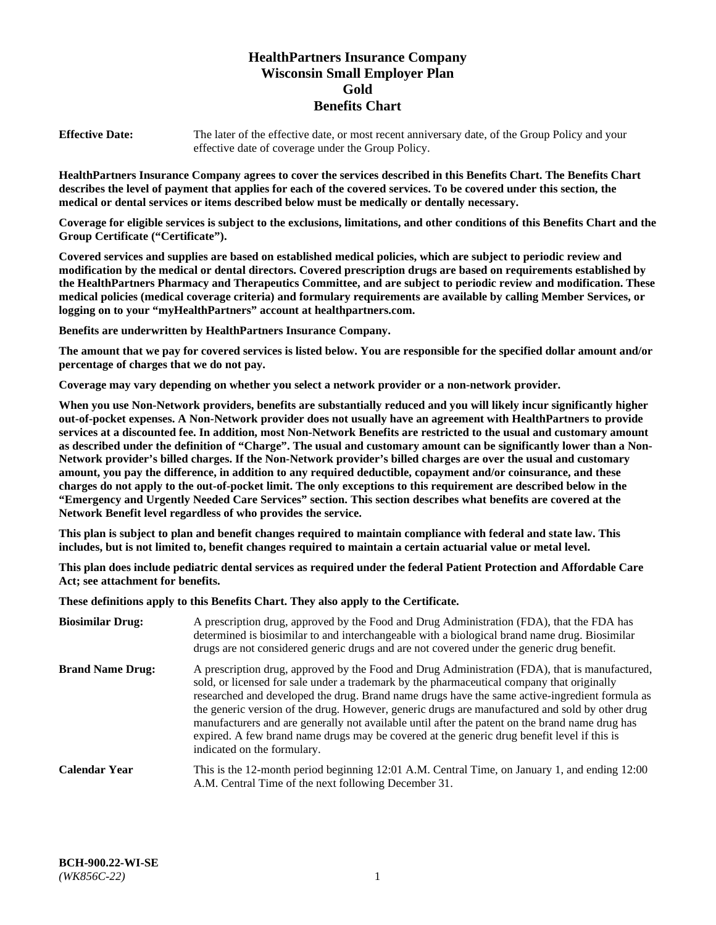# **HealthPartners Insurance Company Wisconsin Small Employer Plan Gold Benefits Chart**

**Effective Date:** The later of the effective date, or most recent anniversary date, of the Group Policy and your effective date of coverage under the Group Policy.

**HealthPartners Insurance Company agrees to cover the services described in this Benefits Chart. The Benefits Chart describes the level of payment that applies for each of the covered services. To be covered under this section, the medical or dental services or items described below must be medically or dentally necessary.**

**Coverage for eligible services is subject to the exclusions, limitations, and other conditions of this Benefits Chart and the Group Certificate ("Certificate").**

**Covered services and supplies are based on established medical policies, which are subject to periodic review and modification by the medical or dental directors. Covered prescription drugs are based on requirements established by the HealthPartners Pharmacy and Therapeutics Committee, and are subject to periodic review and modification. These medical policies (medical coverage criteria) and formulary requirements are available by calling Member Services, or logging on to your "myHealthPartners" account at [healthpartners.com.](https://www.healthpartners.com/hp/index.html)** 

**Benefits are underwritten by HealthPartners Insurance Company.**

**The amount that we pay for covered services is listed below. You are responsible for the specified dollar amount and/or percentage of charges that we do not pay.**

**Coverage may vary depending on whether you select a network provider or a non-network provider.**

**When you use Non-Network providers, benefits are substantially reduced and you will likely incur significantly higher out-of-pocket expenses. A Non-Network provider does not usually have an agreement with HealthPartners to provide services at a discounted fee. In addition, most Non-Network Benefits are restricted to the usual and customary amount as described under the definition of "Charge". The usual and customary amount can be significantly lower than a Non-Network provider's billed charges. If the Non-Network provider's billed charges are over the usual and customary amount, you pay the difference, in addition to any required deductible, copayment and/or coinsurance, and these charges do not apply to the out-of-pocket limit. The only exceptions to this requirement are described below in the "Emergency and Urgently Needed Care Services" section. This section describes what benefits are covered at the Network Benefit level regardless of who provides the service.**

**This plan is subject to plan and benefit changes required to maintain compliance with federal and state law. This includes, but is not limited to, benefit changes required to maintain a certain actuarial value or metal level.**

**This plan does include pediatric dental services as required under the federal Patient Protection and Affordable Care Act; see attachment for benefits.**

**These definitions apply to this Benefits Chart. They also apply to the Certificate.**

| <b>Biosimilar Drug:</b> | A prescription drug, approved by the Food and Drug Administration (FDA), that the FDA has<br>determined is biosimilar to and interchangeable with a biological brand name drug. Biosimilar<br>drugs are not considered generic drugs and are not covered under the generic drug benefit.                                                                                                                                                                                                                                                                                                                                           |
|-------------------------|------------------------------------------------------------------------------------------------------------------------------------------------------------------------------------------------------------------------------------------------------------------------------------------------------------------------------------------------------------------------------------------------------------------------------------------------------------------------------------------------------------------------------------------------------------------------------------------------------------------------------------|
| <b>Brand Name Drug:</b> | A prescription drug, approved by the Food and Drug Administration (FDA), that is manufactured,<br>sold, or licensed for sale under a trademark by the pharmaceutical company that originally<br>researched and developed the drug. Brand name drugs have the same active-ingredient formula as<br>the generic version of the drug. However, generic drugs are manufactured and sold by other drug<br>manufacturers and are generally not available until after the patent on the brand name drug has<br>expired. A few brand name drugs may be covered at the generic drug benefit level if this is<br>indicated on the formulary. |
| <b>Calendar Year</b>    | This is the 12-month period beginning 12:01 A.M. Central Time, on January 1, and ending 12:00<br>A.M. Central Time of the next following December 31.                                                                                                                                                                                                                                                                                                                                                                                                                                                                              |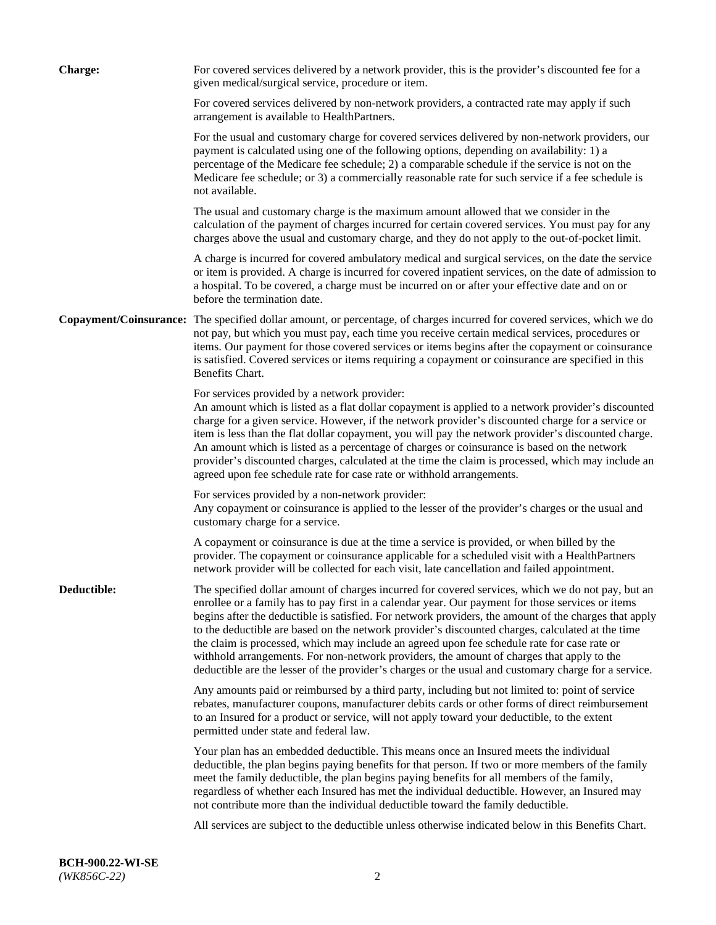| <b>Charge:</b>         | For covered services delivered by a network provider, this is the provider's discounted fee for a<br>given medical/surgical service, procedure or item.                                                                                                                                                                                                                                                                                                                                                                                                                                                                                                                                                                 |
|------------------------|-------------------------------------------------------------------------------------------------------------------------------------------------------------------------------------------------------------------------------------------------------------------------------------------------------------------------------------------------------------------------------------------------------------------------------------------------------------------------------------------------------------------------------------------------------------------------------------------------------------------------------------------------------------------------------------------------------------------------|
|                        | For covered services delivered by non-network providers, a contracted rate may apply if such<br>arrangement is available to HealthPartners.                                                                                                                                                                                                                                                                                                                                                                                                                                                                                                                                                                             |
|                        | For the usual and customary charge for covered services delivered by non-network providers, our<br>payment is calculated using one of the following options, depending on availability: 1) a<br>percentage of the Medicare fee schedule; 2) a comparable schedule if the service is not on the<br>Medicare fee schedule; or 3) a commercially reasonable rate for such service if a fee schedule is<br>not available.                                                                                                                                                                                                                                                                                                   |
|                        | The usual and customary charge is the maximum amount allowed that we consider in the<br>calculation of the payment of charges incurred for certain covered services. You must pay for any<br>charges above the usual and customary charge, and they do not apply to the out-of-pocket limit.                                                                                                                                                                                                                                                                                                                                                                                                                            |
|                        | A charge is incurred for covered ambulatory medical and surgical services, on the date the service<br>or item is provided. A charge is incurred for covered inpatient services, on the date of admission to<br>a hospital. To be covered, a charge must be incurred on or after your effective date and on or<br>before the termination date.                                                                                                                                                                                                                                                                                                                                                                           |
| Copayment/Coinsurance: | The specified dollar amount, or percentage, of charges incurred for covered services, which we do<br>not pay, but which you must pay, each time you receive certain medical services, procedures or<br>items. Our payment for those covered services or items begins after the copayment or coinsurance<br>is satisfied. Covered services or items requiring a copayment or coinsurance are specified in this<br>Benefits Chart.                                                                                                                                                                                                                                                                                        |
|                        | For services provided by a network provider:<br>An amount which is listed as a flat dollar copayment is applied to a network provider's discounted<br>charge for a given service. However, if the network provider's discounted charge for a service or<br>item is less than the flat dollar copayment, you will pay the network provider's discounted charge.<br>An amount which is listed as a percentage of charges or coinsurance is based on the network<br>provider's discounted charges, calculated at the time the claim is processed, which may include an<br>agreed upon fee schedule rate for case rate or withhold arrangements.                                                                            |
|                        | For services provided by a non-network provider:<br>Any copayment or coinsurance is applied to the lesser of the provider's charges or the usual and<br>customary charge for a service.                                                                                                                                                                                                                                                                                                                                                                                                                                                                                                                                 |
|                        | A copayment or coinsurance is due at the time a service is provided, or when billed by the<br>provider. The copayment or coinsurance applicable for a scheduled visit with a HealthPartners<br>network provider will be collected for each visit, late cancellation and failed appointment.                                                                                                                                                                                                                                                                                                                                                                                                                             |
| Deductible:            | The specified dollar amount of charges incurred for covered services, which we do not pay, but an<br>enrollee or a family has to pay first in a calendar year. Our payment for those services or items<br>begins after the deductible is satisfied. For network providers, the amount of the charges that apply<br>to the deductible are based on the network provider's discounted charges, calculated at the time<br>the claim is processed, which may include an agreed upon fee schedule rate for case rate or<br>withhold arrangements. For non-network providers, the amount of charges that apply to the<br>deductible are the lesser of the provider's charges or the usual and customary charge for a service. |
|                        | Any amounts paid or reimbursed by a third party, including but not limited to: point of service<br>rebates, manufacturer coupons, manufacturer debits cards or other forms of direct reimbursement<br>to an Insured for a product or service, will not apply toward your deductible, to the extent<br>permitted under state and federal law.                                                                                                                                                                                                                                                                                                                                                                            |
|                        | Your plan has an embedded deductible. This means once an Insured meets the individual<br>deductible, the plan begins paying benefits for that person. If two or more members of the family<br>meet the family deductible, the plan begins paying benefits for all members of the family,<br>regardless of whether each Insured has met the individual deductible. However, an Insured may<br>not contribute more than the individual deductible toward the family deductible.                                                                                                                                                                                                                                           |
|                        | All services are subject to the deductible unless otherwise indicated below in this Benefits Chart.                                                                                                                                                                                                                                                                                                                                                                                                                                                                                                                                                                                                                     |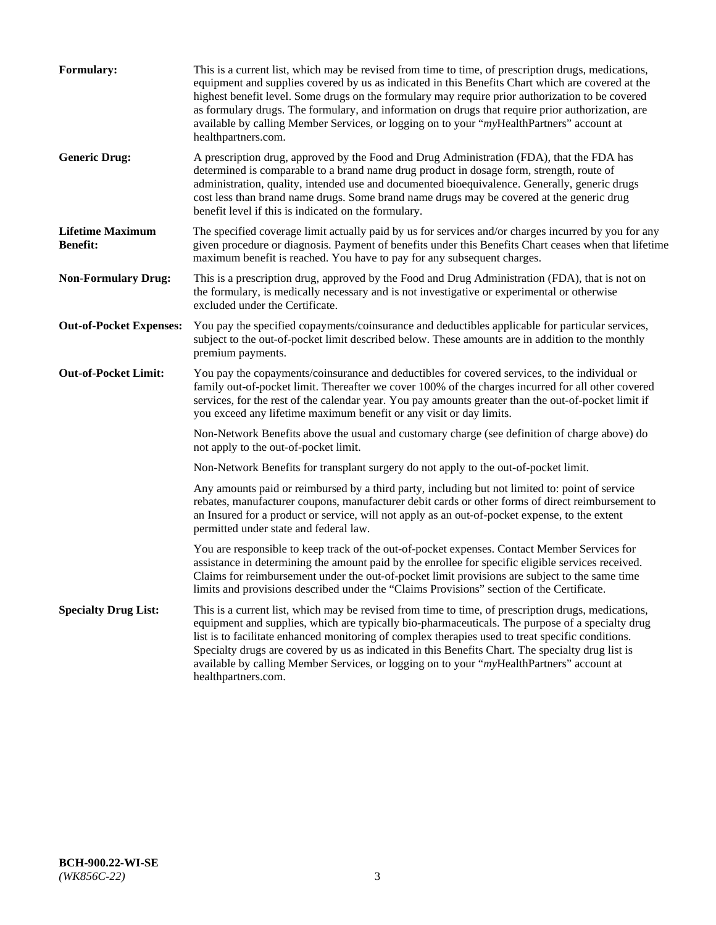| <b>Formulary:</b>                          | This is a current list, which may be revised from time to time, of prescription drugs, medications,<br>equipment and supplies covered by us as indicated in this Benefits Chart which are covered at the<br>highest benefit level. Some drugs on the formulary may require prior authorization to be covered<br>as formulary drugs. The formulary, and information on drugs that require prior authorization, are<br>available by calling Member Services, or logging on to your "myHealthPartners" account at<br>healthpartners.com. |
|--------------------------------------------|---------------------------------------------------------------------------------------------------------------------------------------------------------------------------------------------------------------------------------------------------------------------------------------------------------------------------------------------------------------------------------------------------------------------------------------------------------------------------------------------------------------------------------------|
| <b>Generic Drug:</b>                       | A prescription drug, approved by the Food and Drug Administration (FDA), that the FDA has<br>determined is comparable to a brand name drug product in dosage form, strength, route of<br>administration, quality, intended use and documented bioequivalence. Generally, generic drugs<br>cost less than brand name drugs. Some brand name drugs may be covered at the generic drug<br>benefit level if this is indicated on the formulary.                                                                                           |
| <b>Lifetime Maximum</b><br><b>Benefit:</b> | The specified coverage limit actually paid by us for services and/or charges incurred by you for any<br>given procedure or diagnosis. Payment of benefits under this Benefits Chart ceases when that lifetime<br>maximum benefit is reached. You have to pay for any subsequent charges.                                                                                                                                                                                                                                              |
| <b>Non-Formulary Drug:</b>                 | This is a prescription drug, approved by the Food and Drug Administration (FDA), that is not on<br>the formulary, is medically necessary and is not investigative or experimental or otherwise<br>excluded under the Certificate.                                                                                                                                                                                                                                                                                                     |
| <b>Out-of-Pocket Expenses:</b>             | You pay the specified copayments/coinsurance and deductibles applicable for particular services,<br>subject to the out-of-pocket limit described below. These amounts are in addition to the monthly<br>premium payments.                                                                                                                                                                                                                                                                                                             |
| <b>Out-of-Pocket Limit:</b>                | You pay the copayments/coinsurance and deductibles for covered services, to the individual or<br>family out-of-pocket limit. Thereafter we cover 100% of the charges incurred for all other covered<br>services, for the rest of the calendar year. You pay amounts greater than the out-of-pocket limit if<br>you exceed any lifetime maximum benefit or any visit or day limits.                                                                                                                                                    |
|                                            | Non-Network Benefits above the usual and customary charge (see definition of charge above) do<br>not apply to the out-of-pocket limit.                                                                                                                                                                                                                                                                                                                                                                                                |
|                                            | Non-Network Benefits for transplant surgery do not apply to the out-of-pocket limit.                                                                                                                                                                                                                                                                                                                                                                                                                                                  |
|                                            | Any amounts paid or reimbursed by a third party, including but not limited to: point of service<br>rebates, manufacturer coupons, manufacturer debit cards or other forms of direct reimbursement to<br>an Insured for a product or service, will not apply as an out-of-pocket expense, to the extent<br>permitted under state and federal law.                                                                                                                                                                                      |
|                                            | You are responsible to keep track of the out-of-pocket expenses. Contact Member Services for<br>assistance in determining the amount paid by the enrollee for specific eligible services received.<br>Claims for reimbursement under the out-of-pocket limit provisions are subject to the same time<br>limits and provisions described under the "Claims Provisions" section of the Certificate.                                                                                                                                     |
| <b>Specialty Drug List:</b>                | This is a current list, which may be revised from time to time, of prescription drugs, medications,<br>equipment and supplies, which are typically bio-pharmaceuticals. The purpose of a specialty drug<br>list is to facilitate enhanced monitoring of complex therapies used to treat specific conditions.<br>Specialty drugs are covered by us as indicated in this Benefits Chart. The specialty drug list is<br>available by calling Member Services, or logging on to your "myHealthPartners" account at<br>healthpartners.com. |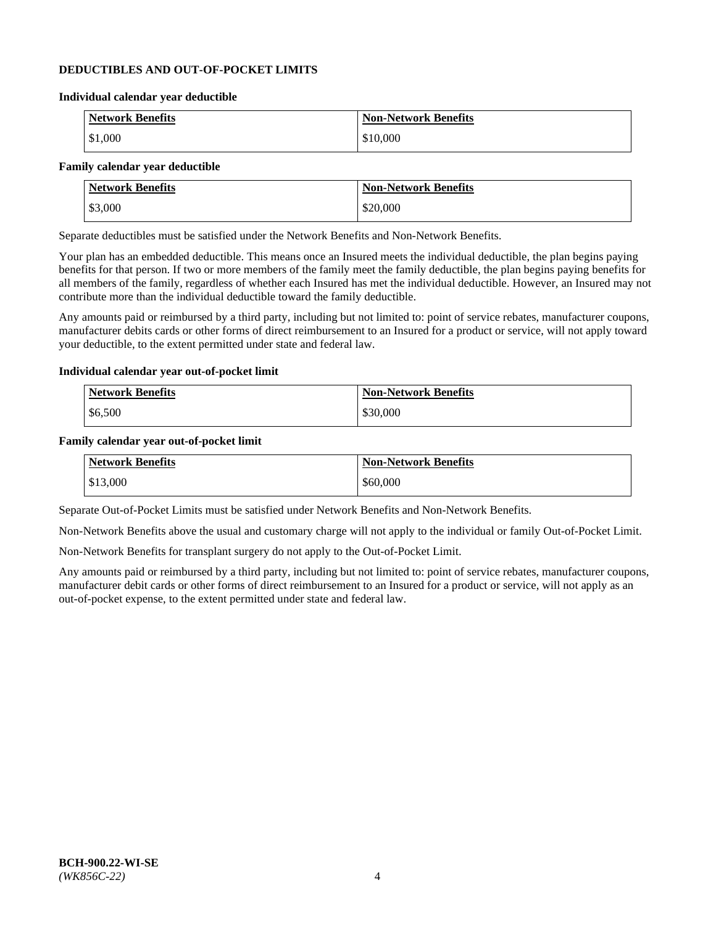### **DEDUCTIBLES AND OUT-OF-POCKET LIMITS**

#### **Individual calendar year deductible**

| <b>Network Benefits</b> | <b>Non-Network Benefits</b> |
|-------------------------|-----------------------------|
| \$1,000                 | \$10,000                    |

### **Family calendar year deductible**

| <b>Network Benefits</b> | <b>Non-Network Benefits</b> |
|-------------------------|-----------------------------|
| \$3,000                 | \$20,000                    |

Separate deductibles must be satisfied under the Network Benefits and Non-Network Benefits.

Your plan has an embedded deductible. This means once an Insured meets the individual deductible, the plan begins paying benefits for that person. If two or more members of the family meet the family deductible, the plan begins paying benefits for all members of the family, regardless of whether each Insured has met the individual deductible. However, an Insured may not contribute more than the individual deductible toward the family deductible.

Any amounts paid or reimbursed by a third party, including but not limited to: point of service rebates, manufacturer coupons, manufacturer debits cards or other forms of direct reimbursement to an Insured for a product or service, will not apply toward your deductible, to the extent permitted under state and federal law.

#### **Individual calendar year out-of-pocket limit**

| Network Benefits | <b>Non-Network Benefits</b> |
|------------------|-----------------------------|
| \$6,500          | \$30,000                    |

#### **Family calendar year out-of-pocket limit**

| <b>Network Benefits</b> | <b>Non-Network Benefits</b> |
|-------------------------|-----------------------------|
| \$13,000                | \$60,000                    |

Separate Out-of-Pocket Limits must be satisfied under Network Benefits and Non-Network Benefits.

Non-Network Benefits above the usual and customary charge will not apply to the individual or family Out-of-Pocket Limit.

Non-Network Benefits for transplant surgery do not apply to the Out-of-Pocket Limit.

Any amounts paid or reimbursed by a third party, including but not limited to: point of service rebates, manufacturer coupons, manufacturer debit cards or other forms of direct reimbursement to an Insured for a product or service, will not apply as an out-of-pocket expense, to the extent permitted under state and federal law.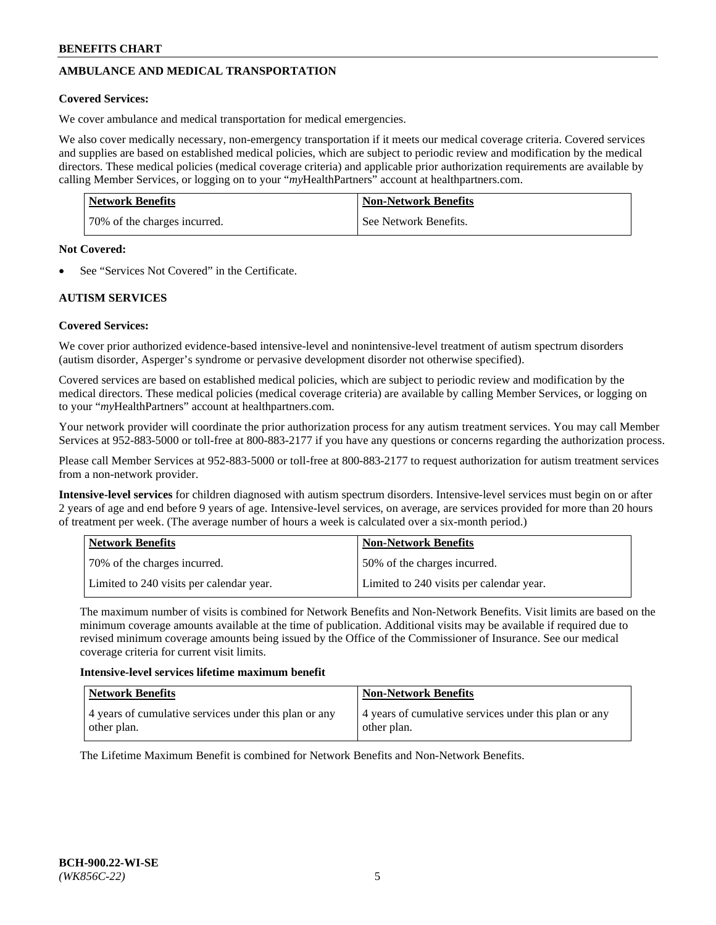# **AMBULANCE AND MEDICAL TRANSPORTATION**

### **Covered Services:**

We cover ambulance and medical transportation for medical emergencies.

We also cover medically necessary, non-emergency transportation if it meets our medical coverage criteria. Covered services and supplies are based on established medical policies, which are subject to periodic review and modification by the medical directors. These medical policies (medical coverage criteria) and applicable prior authorization requirements are available by calling Member Services, or logging on to your "*my*HealthPartners" account a[t healthpartners.com.](https://www.healthpartners.com/hp/index.html)

| <b>Network Benefits</b>      | <b>Non-Network Benefits</b> |
|------------------------------|-----------------------------|
| 70% of the charges incurred. | See Network Benefits.       |

#### **Not Covered:**

See "Services Not Covered" in the Certificate.

## **AUTISM SERVICES**

## **Covered Services:**

We cover prior authorized evidence-based intensive-level and nonintensive-level treatment of autism spectrum disorders (autism disorder, Asperger's syndrome or pervasive development disorder not otherwise specified).

Covered services are based on established medical policies, which are subject to periodic review and modification by the medical directors. These medical policies (medical coverage criteria) are available by calling Member Services, or logging on to your "*my*HealthPartners" account at [healthpartners.com.](https://www.healthpartners.com/hp/index.html)

Your network provider will coordinate the prior authorization process for any autism treatment services. You may call Member Services at 952-883-5000 or toll-free at 800-883-2177 if you have any questions or concerns regarding the authorization process.

Please call Member Services at 952-883-5000 or toll-free at 800-883-2177 to request authorization for autism treatment services from a non-network provider.

**Intensive-level services** for children diagnosed with autism spectrum disorders. Intensive-level services must begin on or after 2 years of age and end before 9 years of age. Intensive-level services, on average, are services provided for more than 20 hours of treatment per week. (The average number of hours a week is calculated over a six-month period.)

| Network Benefits                         | <b>Non-Network Benefits</b>              |
|------------------------------------------|------------------------------------------|
| 70% of the charges incurred.             | 50% of the charges incurred.             |
| Limited to 240 visits per calendar year. | Limited to 240 visits per calendar year. |

The maximum number of visits is combined for Network Benefits and Non-Network Benefits. Visit limits are based on the minimum coverage amounts available at the time of publication. Additional visits may be available if required due to revised minimum coverage amounts being issued by the Office of the Commissioner of Insurance. See our medical coverage criteria for current visit limits.

#### **Intensive-level services lifetime maximum benefit**

| Network Benefits                                                     | <b>Non-Network Benefits</b>                                          |
|----------------------------------------------------------------------|----------------------------------------------------------------------|
| 4 years of cumulative services under this plan or any<br>other plan. | 4 years of cumulative services under this plan or any<br>other plan. |

The Lifetime Maximum Benefit is combined for Network Benefits and Non-Network Benefits.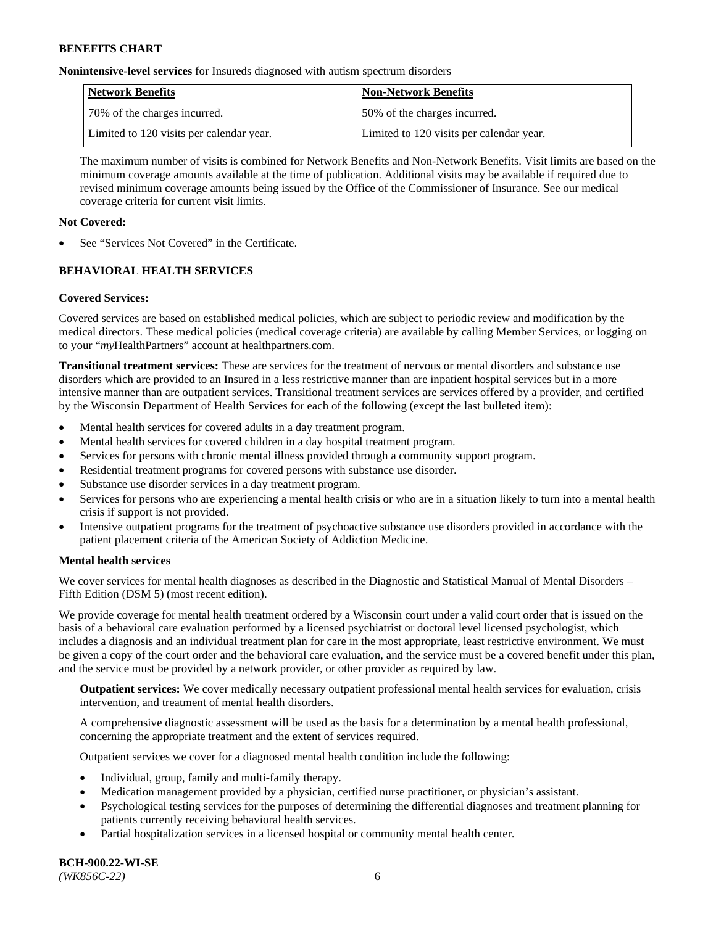**Nonintensive-level services** for Insureds diagnosed with autism spectrum disorders

| Network Benefits                         | <b>Non-Network Benefits</b>              |
|------------------------------------------|------------------------------------------|
| 70% of the charges incurred.             | 50% of the charges incurred.             |
| Limited to 120 visits per calendar year. | Limited to 120 visits per calendar year. |

The maximum number of visits is combined for Network Benefits and Non-Network Benefits. Visit limits are based on the minimum coverage amounts available at the time of publication. Additional visits may be available if required due to revised minimum coverage amounts being issued by the Office of the Commissioner of Insurance. See our medical coverage criteria for current visit limits.

## **Not Covered:**

See "Services Not Covered" in the Certificate.

## **BEHAVIORAL HEALTH SERVICES**

## **Covered Services:**

Covered services are based on established medical policies, which are subject to periodic review and modification by the medical directors. These medical policies (medical coverage criteria) are available by calling Member Services, or logging on to your "*my*HealthPartners" account at [healthpartners.com.](https://www.healthpartners.com/hp/index.html)

**Transitional treatment services:** These are services for the treatment of nervous or mental disorders and substance use disorders which are provided to an Insured in a less restrictive manner than are inpatient hospital services but in a more intensive manner than are outpatient services. Transitional treatment services are services offered by a provider, and certified by the Wisconsin Department of Health Services for each of the following (except the last bulleted item):

- Mental health services for covered adults in a day treatment program.
- Mental health services for covered children in a day hospital treatment program.
- Services for persons with chronic mental illness provided through a community support program.
- Residential treatment programs for covered persons with substance use disorder.
- Substance use disorder services in a day treatment program.
- Services for persons who are experiencing a mental health crisis or who are in a situation likely to turn into a mental health crisis if support is not provided.
- Intensive outpatient programs for the treatment of psychoactive substance use disorders provided in accordance with the patient placement criteria of the American Society of Addiction Medicine.

## **Mental health services**

We cover services for mental health diagnoses as described in the Diagnostic and Statistical Manual of Mental Disorders – Fifth Edition (DSM 5) (most recent edition).

We provide coverage for mental health treatment ordered by a Wisconsin court under a valid court order that is issued on the basis of a behavioral care evaluation performed by a licensed psychiatrist or doctoral level licensed psychologist, which includes a diagnosis and an individual treatment plan for care in the most appropriate, least restrictive environment. We must be given a copy of the court order and the behavioral care evaluation, and the service must be a covered benefit under this plan, and the service must be provided by a network provider, or other provider as required by law.

**Outpatient services:** We cover medically necessary outpatient professional mental health services for evaluation, crisis intervention, and treatment of mental health disorders.

A comprehensive diagnostic assessment will be used as the basis for a determination by a mental health professional, concerning the appropriate treatment and the extent of services required.

Outpatient services we cover for a diagnosed mental health condition include the following:

- Individual, group, family and multi-family therapy.
- Medication management provided by a physician, certified nurse practitioner, or physician's assistant.
- Psychological testing services for the purposes of determining the differential diagnoses and treatment planning for patients currently receiving behavioral health services.
- Partial hospitalization services in a licensed hospital or community mental health center.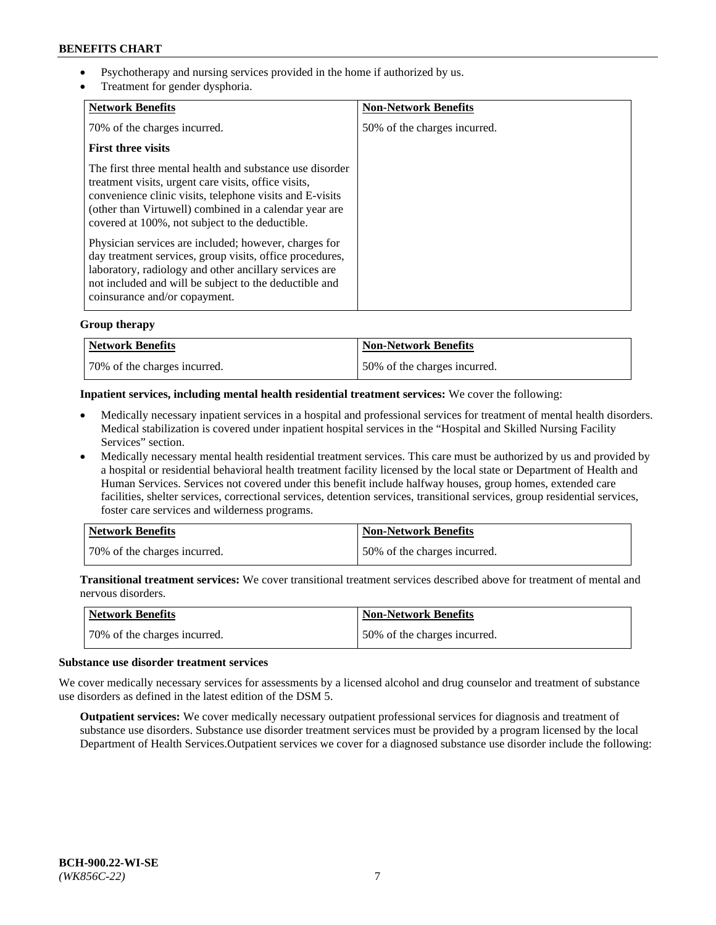- Psychotherapy and nursing services provided in the home if authorized by us.
- Treatment for gender dysphoria.

| <b>Network Benefits</b>                                                                                                                                                                                                                                                                   | <b>Non-Network Benefits</b>  |
|-------------------------------------------------------------------------------------------------------------------------------------------------------------------------------------------------------------------------------------------------------------------------------------------|------------------------------|
| 70% of the charges incurred.                                                                                                                                                                                                                                                              | 50% of the charges incurred. |
| <b>First three visits</b>                                                                                                                                                                                                                                                                 |                              |
| The first three mental health and substance use disorder<br>treatment visits, urgent care visits, office visits,<br>convenience clinic visits, telephone visits and E-visits<br>(other than Virtuwell) combined in a calendar year are<br>covered at 100%, not subject to the deductible. |                              |
| Physician services are included; however, charges for<br>day treatment services, group visits, office procedures,<br>laboratory, radiology and other ancillary services are<br>not included and will be subject to the deductible and<br>coinsurance and/or copayment.                    |                              |

## **Group therapy**

| Network Benefits             | <b>Non-Network Benefits</b>  |
|------------------------------|------------------------------|
| 70% of the charges incurred. | 50% of the charges incurred. |

#### **Inpatient services, including mental health residential treatment services:** We cover the following:

- Medically necessary inpatient services in a hospital and professional services for treatment of mental health disorders. Medical stabilization is covered under inpatient hospital services in the "Hospital and Skilled Nursing Facility Services" section.
- Medically necessary mental health residential treatment services. This care must be authorized by us and provided by a hospital or residential behavioral health treatment facility licensed by the local state or Department of Health and Human Services. Services not covered under this benefit include halfway houses, group homes, extended care facilities, shelter services, correctional services, detention services, transitional services, group residential services, foster care services and wilderness programs.

| Network Benefits             | <b>Non-Network Benefits</b>  |
|------------------------------|------------------------------|
| 70% of the charges incurred. | 50% of the charges incurred. |

**Transitional treatment services:** We cover transitional treatment services described above for treatment of mental and nervous disorders.

| Network Benefits             | <b>Non-Network Benefits</b>  |
|------------------------------|------------------------------|
| 70% of the charges incurred. | 50% of the charges incurred. |

#### **Substance use disorder treatment services**

We cover medically necessary services for assessments by a licensed alcohol and drug counselor and treatment of substance use disorders as defined in the latest edition of the DSM 5.

**Outpatient services:** We cover medically necessary outpatient professional services for diagnosis and treatment of substance use disorders. Substance use disorder treatment services must be provided by a program licensed by the local Department of Health Services.Outpatient services we cover for a diagnosed substance use disorder include the following: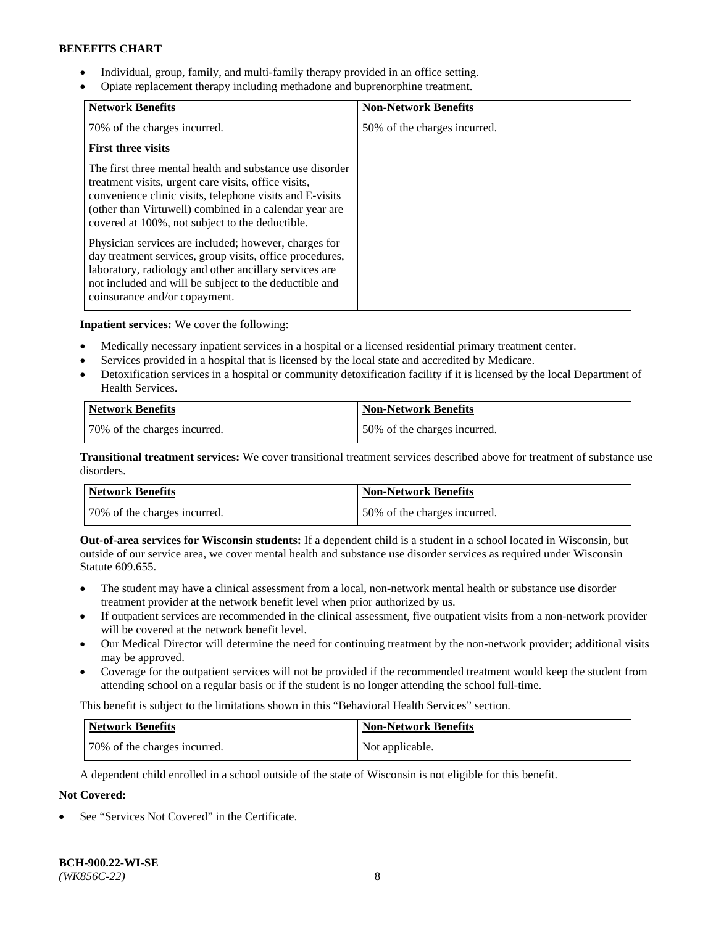- Individual, group, family, and multi-family therapy provided in an office setting.
- Opiate replacement therapy including methadone and buprenorphine treatment.

| <b>Network Benefits</b>                                                                                                                                                                                                                                                                   | <b>Non-Network Benefits</b>  |
|-------------------------------------------------------------------------------------------------------------------------------------------------------------------------------------------------------------------------------------------------------------------------------------------|------------------------------|
| 70% of the charges incurred.                                                                                                                                                                                                                                                              | 50% of the charges incurred. |
| <b>First three visits</b>                                                                                                                                                                                                                                                                 |                              |
| The first three mental health and substance use disorder<br>treatment visits, urgent care visits, office visits,<br>convenience clinic visits, telephone visits and E-visits<br>(other than Virtuwell) combined in a calendar year are<br>covered at 100%, not subject to the deductible. |                              |
| Physician services are included; however, charges for<br>day treatment services, group visits, office procedures,<br>laboratory, radiology and other ancillary services are<br>not included and will be subject to the deductible and<br>coinsurance and/or copayment.                    |                              |

**Inpatient services:** We cover the following:

- Medically necessary inpatient services in a hospital or a licensed residential primary treatment center.
- Services provided in a hospital that is licensed by the local state and accredited by Medicare.
- Detoxification services in a hospital or community detoxification facility if it is licensed by the local Department of Health Services.

| <b>Network Benefits</b>      | <b>Non-Network Benefits</b>  |
|------------------------------|------------------------------|
| 70% of the charges incurred. | 50% of the charges incurred. |

**Transitional treatment services:** We cover transitional treatment services described above for treatment of substance use disorders.

| Network Benefits             | <b>Non-Network Benefits</b>  |
|------------------------------|------------------------------|
| 70% of the charges incurred. | 50% of the charges incurred. |

**Out-of-area services for Wisconsin students:** If a dependent child is a student in a school located in Wisconsin, but outside of our service area, we cover mental health and substance use disorder services as required under Wisconsin Statute 609.655.

- The student may have a clinical assessment from a local, non-network mental health or substance use disorder treatment provider at the network benefit level when prior authorized by us.
- If outpatient services are recommended in the clinical assessment, five outpatient visits from a non-network provider will be covered at the network benefit level.
- Our Medical Director will determine the need for continuing treatment by the non-network provider; additional visits may be approved.
- Coverage for the outpatient services will not be provided if the recommended treatment would keep the student from attending school on a regular basis or if the student is no longer attending the school full-time.

This benefit is subject to the limitations shown in this "Behavioral Health Services" section.

| Network Benefits             | <b>Non-Network Benefits</b> |
|------------------------------|-----------------------------|
| 70% of the charges incurred. | Not applicable.             |

A dependent child enrolled in a school outside of the state of Wisconsin is not eligible for this benefit.

## **Not Covered:**

See "Services Not Covered" in the Certificate.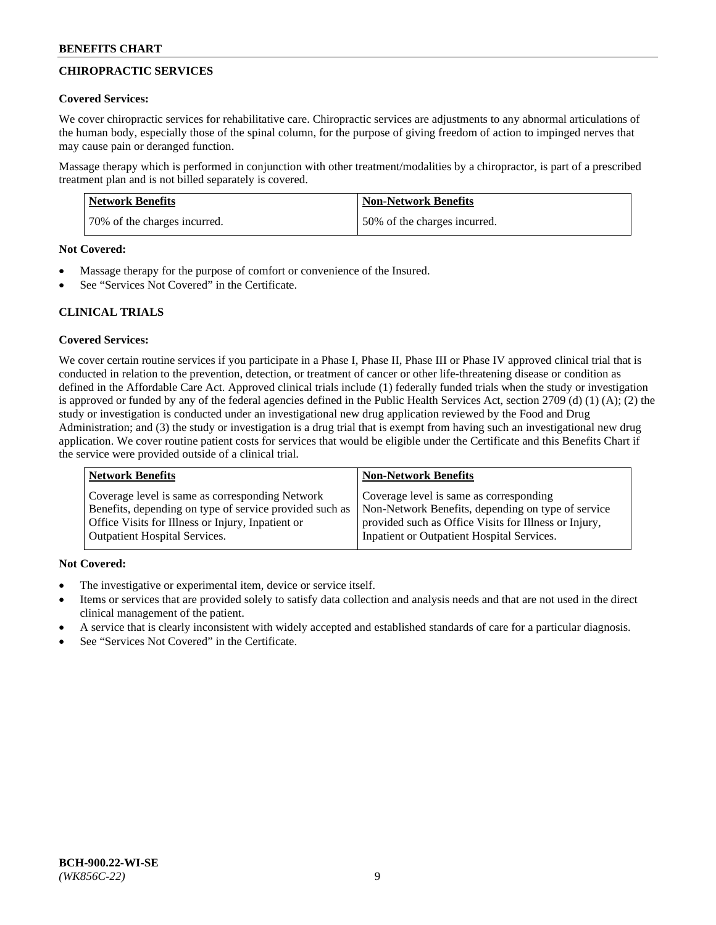## **CHIROPRACTIC SERVICES**

#### **Covered Services:**

We cover chiropractic services for rehabilitative care. Chiropractic services are adjustments to any abnormal articulations of the human body, especially those of the spinal column, for the purpose of giving freedom of action to impinged nerves that may cause pain or deranged function.

Massage therapy which is performed in conjunction with other treatment/modalities by a chiropractor, is part of a prescribed treatment plan and is not billed separately is covered.

| <b>Network Benefits</b>      | <b>Non-Network Benefits</b>  |
|------------------------------|------------------------------|
| 70% of the charges incurred. | 50% of the charges incurred. |

#### **Not Covered:**

- Massage therapy for the purpose of comfort or convenience of the Insured.
- See "Services Not Covered" in the Certificate.

## **CLINICAL TRIALS**

## **Covered Services:**

We cover certain routine services if you participate in a Phase I, Phase II, Phase III or Phase IV approved clinical trial that is conducted in relation to the prevention, detection, or treatment of cancer or other life-threatening disease or condition as defined in the Affordable Care Act. Approved clinical trials include (1) federally funded trials when the study or investigation is approved or funded by any of the federal agencies defined in the Public Health Services Act, section 2709 (d) (1) (A); (2) the study or investigation is conducted under an investigational new drug application reviewed by the Food and Drug Administration; and (3) the study or investigation is a drug trial that is exempt from having such an investigational new drug application. We cover routine patient costs for services that would be eligible under the Certificate and this Benefits Chart if the service were provided outside of a clinical trial.

| <b>Network Benefits</b>                                 | <b>Non-Network Benefits</b>                           |
|---------------------------------------------------------|-------------------------------------------------------|
| Coverage level is same as corresponding Network         | Coverage level is same as corresponding               |
| Benefits, depending on type of service provided such as | Non-Network Benefits, depending on type of service    |
| Office Visits for Illness or Injury, Inpatient or       | provided such as Office Visits for Illness or Injury, |
| Outpatient Hospital Services.                           | Inpatient or Outpatient Hospital Services.            |

## **Not Covered:**

- The investigative or experimental item, device or service itself.
- Items or services that are provided solely to satisfy data collection and analysis needs and that are not used in the direct clinical management of the patient.
- A service that is clearly inconsistent with widely accepted and established standards of care for a particular diagnosis.
- See "Services Not Covered" in the Certificate.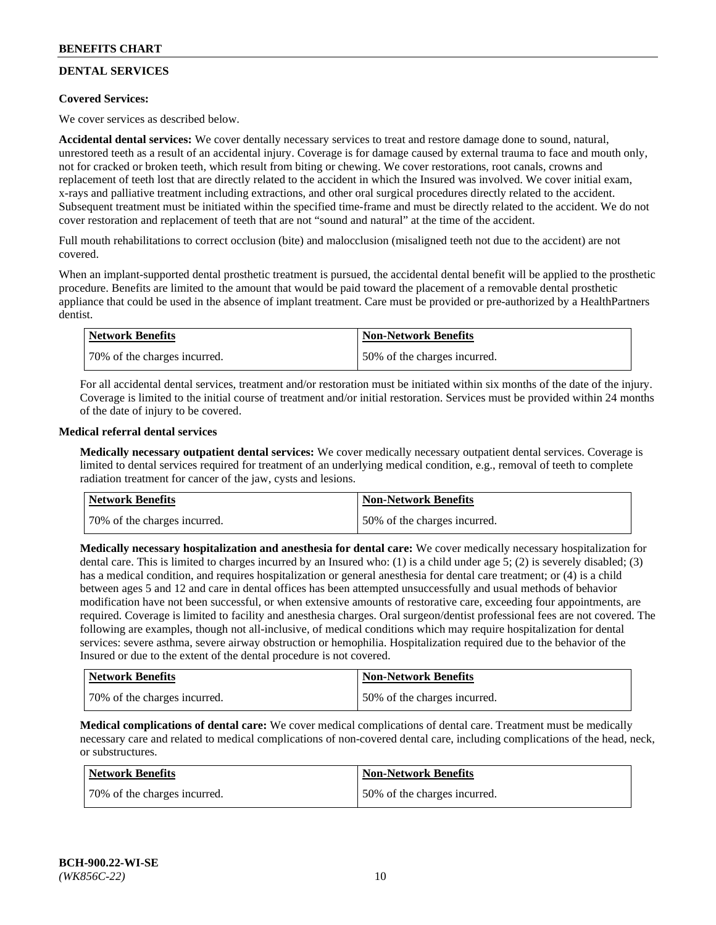# **DENTAL SERVICES**

## **Covered Services:**

We cover services as described below.

**Accidental dental services:** We cover dentally necessary services to treat and restore damage done to sound, natural, unrestored teeth as a result of an accidental injury. Coverage is for damage caused by external trauma to face and mouth only, not for cracked or broken teeth, which result from biting or chewing. We cover restorations, root canals, crowns and replacement of teeth lost that are directly related to the accident in which the Insured was involved. We cover initial exam, x-rays and palliative treatment including extractions, and other oral surgical procedures directly related to the accident. Subsequent treatment must be initiated within the specified time-frame and must be directly related to the accident. We do not cover restoration and replacement of teeth that are not "sound and natural" at the time of the accident.

Full mouth rehabilitations to correct occlusion (bite) and malocclusion (misaligned teeth not due to the accident) are not covered.

When an implant-supported dental prosthetic treatment is pursued, the accidental dental benefit will be applied to the prosthetic procedure. Benefits are limited to the amount that would be paid toward the placement of a removable dental prosthetic appliance that could be used in the absence of implant treatment. Care must be provided or pre-authorized by a HealthPartners dentist.

| Network Benefits             | <b>Non-Network Benefits</b>  |
|------------------------------|------------------------------|
| 70% of the charges incurred. | 50% of the charges incurred. |

For all accidental dental services, treatment and/or restoration must be initiated within six months of the date of the injury. Coverage is limited to the initial course of treatment and/or initial restoration. Services must be provided within 24 months of the date of injury to be covered.

#### **Medical referral dental services**

**Medically necessary outpatient dental services:** We cover medically necessary outpatient dental services. Coverage is limited to dental services required for treatment of an underlying medical condition, e.g., removal of teeth to complete radiation treatment for cancer of the jaw, cysts and lesions.

| Network Benefits             | <b>Non-Network Benefits</b>  |
|------------------------------|------------------------------|
| 70% of the charges incurred. | 50% of the charges incurred. |

**Medically necessary hospitalization and anesthesia for dental care:** We cover medically necessary hospitalization for dental care. This is limited to charges incurred by an Insured who: (1) is a child under age  $5$ ; (2) is severely disabled; (3) has a medical condition, and requires hospitalization or general anesthesia for dental care treatment; or (4) is a child between ages 5 and 12 and care in dental offices has been attempted unsuccessfully and usual methods of behavior modification have not been successful, or when extensive amounts of restorative care, exceeding four appointments, are required. Coverage is limited to facility and anesthesia charges. Oral surgeon/dentist professional fees are not covered. The following are examples, though not all-inclusive, of medical conditions which may require hospitalization for dental services: severe asthma, severe airway obstruction or hemophilia. Hospitalization required due to the behavior of the Insured or due to the extent of the dental procedure is not covered.

| Network Benefits             | <b>Non-Network Benefits</b>  |
|------------------------------|------------------------------|
| 70% of the charges incurred. | 50% of the charges incurred. |

**Medical complications of dental care:** We cover medical complications of dental care. Treatment must be medically necessary care and related to medical complications of non-covered dental care, including complications of the head, neck, or substructures.

| Network Benefits             | <b>Non-Network Benefits</b>  |
|------------------------------|------------------------------|
| 70% of the charges incurred. | 50% of the charges incurred. |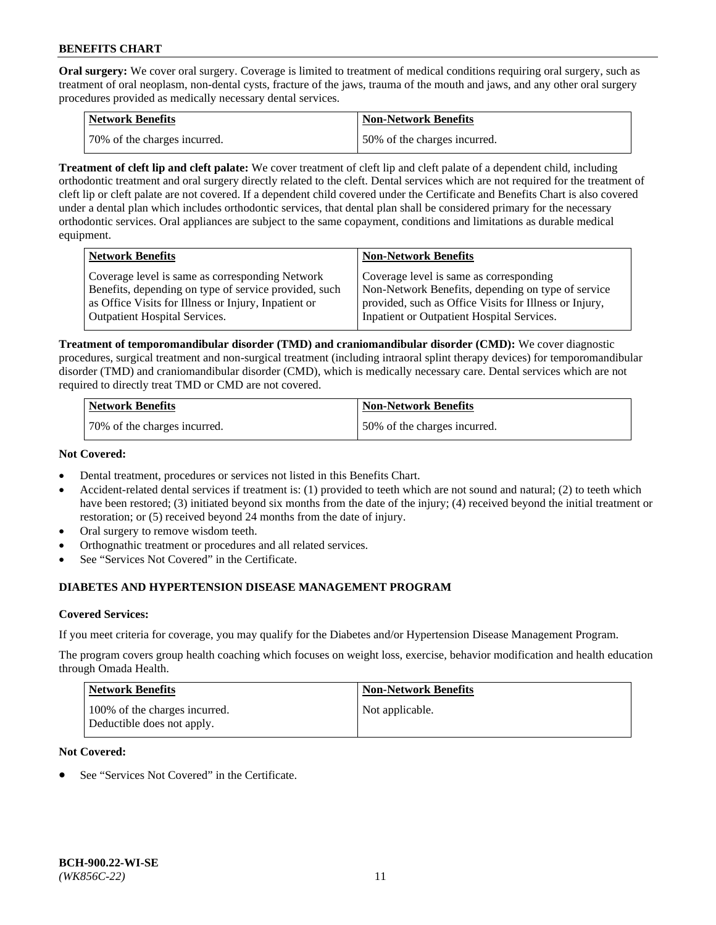**Oral surgery:** We cover oral surgery. Coverage is limited to treatment of medical conditions requiring oral surgery, such as treatment of oral neoplasm, non-dental cysts, fracture of the jaws, trauma of the mouth and jaws, and any other oral surgery procedures provided as medically necessary dental services.

| <b>Network Benefits</b>       | <b>Non-Network Benefits</b>  |
|-------------------------------|------------------------------|
| 170% of the charges incurred. | 50% of the charges incurred. |

**Treatment of cleft lip and cleft palate:** We cover treatment of cleft lip and cleft palate of a dependent child, including orthodontic treatment and oral surgery directly related to the cleft. Dental services which are not required for the treatment of cleft lip or cleft palate are not covered. If a dependent child covered under the Certificate and Benefits Chart is also covered under a dental plan which includes orthodontic services, that dental plan shall be considered primary for the necessary orthodontic services. Oral appliances are subject to the same copayment, conditions and limitations as durable medical equipment.

| <b>Network Benefits</b>                               | <b>Non-Network Benefits</b>                            |
|-------------------------------------------------------|--------------------------------------------------------|
| Coverage level is same as corresponding Network       | Coverage level is same as corresponding                |
| Benefits, depending on type of service provided, such | Non-Network Benefits, depending on type of service     |
| as Office Visits for Illness or Injury, Inpatient or  | provided, such as Office Visits for Illness or Injury, |
| <b>Outpatient Hospital Services.</b>                  | Inpatient or Outpatient Hospital Services.             |

**Treatment of temporomandibular disorder (TMD) and craniomandibular disorder (CMD):** We cover diagnostic procedures, surgical treatment and non-surgical treatment (including intraoral splint therapy devices) for temporomandibular disorder (TMD) and craniomandibular disorder (CMD), which is medically necessary care. Dental services which are not required to directly treat TMD or CMD are not covered.

| <b>Network Benefits</b>      | <b>Non-Network Benefits</b>  |
|------------------------------|------------------------------|
| 70% of the charges incurred. | 50% of the charges incurred. |

#### **Not Covered:**

- Dental treatment, procedures or services not listed in this Benefits Chart.
- Accident-related dental services if treatment is: (1) provided to teeth which are not sound and natural; (2) to teeth which have been restored; (3) initiated beyond six months from the date of the injury; (4) received beyond the initial treatment or restoration; or (5) received beyond 24 months from the date of injury.
- Oral surgery to remove wisdom teeth.
- Orthognathic treatment or procedures and all related services.
- See "Services Not Covered" in the Certificate.

## **DIABETES AND HYPERTENSION DISEASE MANAGEMENT PROGRAM**

## **Covered Services:**

If you meet criteria for coverage, you may qualify for the Diabetes and/or Hypertension Disease Management Program.

The program covers group health coaching which focuses on weight loss, exercise, behavior modification and health education through Omada Health.

| <b>Network Benefits</b>                                     | <b>Non-Network Benefits</b> |
|-------------------------------------------------------------|-----------------------------|
| 100% of the charges incurred.<br>Deductible does not apply. | Not applicable.             |

## **Not Covered:**

See "Services Not Covered" in the Certificate.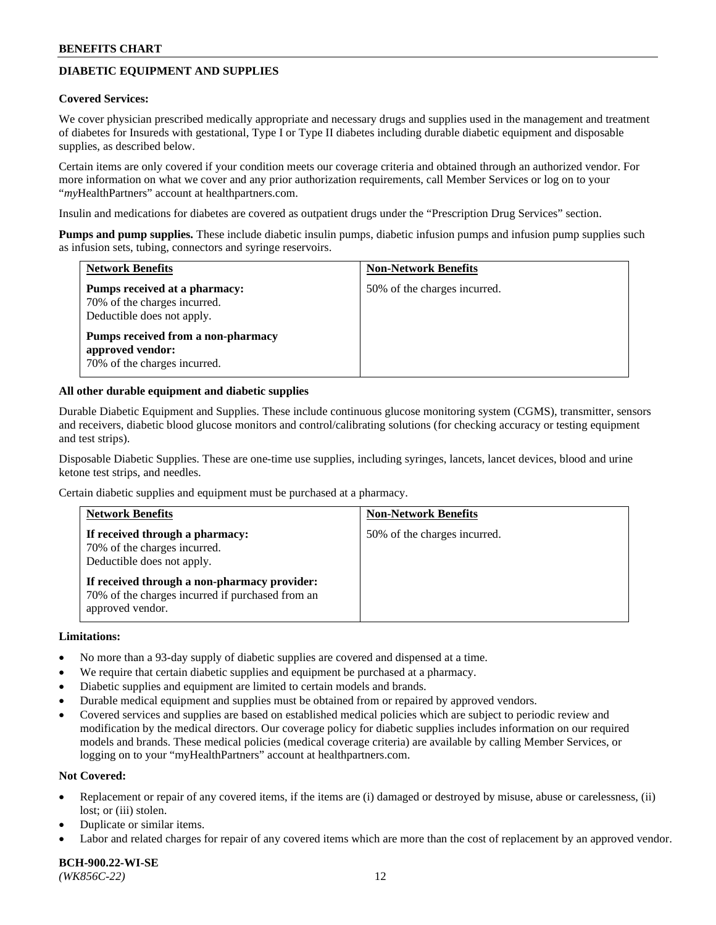## **DIABETIC EQUIPMENT AND SUPPLIES**

#### **Covered Services:**

We cover physician prescribed medically appropriate and necessary drugs and supplies used in the management and treatment of diabetes for Insureds with gestational, Type I or Type II diabetes including durable diabetic equipment and disposable supplies, as described below.

Certain items are only covered if your condition meets our coverage criteria and obtained through an authorized vendor. For more information on what we cover and any prior authorization requirements, call Member Services or log on to your "*my*HealthPartners" account at [healthpartners.com.](http://www.healthpartners.com/)

Insulin and medications for diabetes are covered as outpatient drugs under the "Prescription Drug Services" section.

**Pumps and pump supplies.** These include diabetic insulin pumps, diabetic infusion pumps and infusion pump supplies such as infusion sets, tubing, connectors and syringe reservoirs.

| <b>Network Benefits</b>                                                                     | <b>Non-Network Benefits</b>  |
|---------------------------------------------------------------------------------------------|------------------------------|
| Pumps received at a pharmacy:<br>70% of the charges incurred.<br>Deductible does not apply. | 50% of the charges incurred. |
| Pumps received from a non-pharmacy<br>approved vendor:<br>70% of the charges incurred.      |                              |

#### **All other durable equipment and diabetic supplies**

Durable Diabetic Equipment and Supplies. These include continuous glucose monitoring system (CGMS), transmitter, sensors and receivers, diabetic blood glucose monitors and control/calibrating solutions (for checking accuracy or testing equipment and test strips).

Disposable Diabetic Supplies. These are one-time use supplies, including syringes, lancets, lancet devices, blood and urine ketone test strips, and needles.

Certain diabetic supplies and equipment must be purchased at a pharmacy.

| <b>Network Benefits</b>                                                                                              | <b>Non-Network Benefits</b>  |
|----------------------------------------------------------------------------------------------------------------------|------------------------------|
| If received through a pharmacy:<br>70% of the charges incurred.<br>Deductible does not apply.                        | 50% of the charges incurred. |
| If received through a non-pharmacy provider:<br>70% of the charges incurred if purchased from an<br>approved vendor. |                              |

#### **Limitations:**

- No more than a 93-day supply of diabetic supplies are covered and dispensed at a time.
- We require that certain diabetic supplies and equipment be purchased at a pharmacy.
- Diabetic supplies and equipment are limited to certain models and brands.
- Durable medical equipment and supplies must be obtained from or repaired by approved vendors.
- Covered services and supplies are based on established medical policies which are subject to periodic review and modification by the medical directors. Our coverage policy for diabetic supplies includes information on our required models and brands. These medical policies (medical coverage criteria) are available by calling Member Services, or logging on to your "myHealthPartners" account at [healthpartners.com.](http://www.healthpartners.com/)

#### **Not Covered:**

- Replacement or repair of any covered items, if the items are (i) damaged or destroyed by misuse, abuse or carelessness, (ii) lost; or (iii) stolen.
- Duplicate or similar items.
- Labor and related charges for repair of any covered items which are more than the cost of replacement by an approved vendor.

**BCH-900.22-WI-SE**  *(WK856C-22)* 12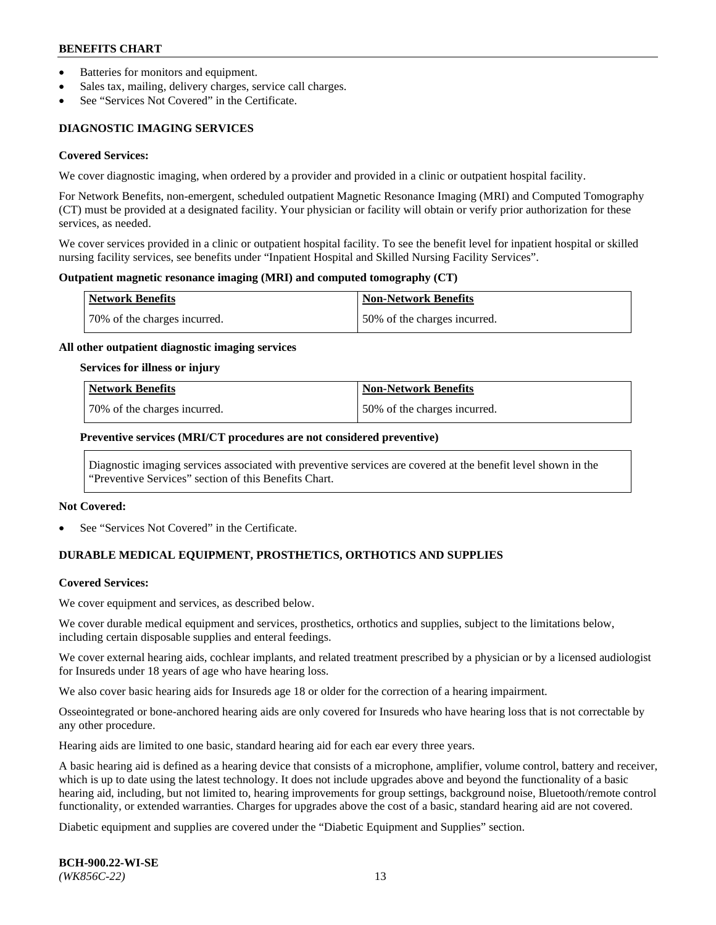- Batteries for monitors and equipment.
- Sales tax, mailing, delivery charges, service call charges.
- See "Services Not Covered" in the Certificate.

## **DIAGNOSTIC IMAGING SERVICES**

#### **Covered Services:**

We cover diagnostic imaging, when ordered by a provider and provided in a clinic or outpatient hospital facility.

For Network Benefits, non-emergent, scheduled outpatient Magnetic Resonance Imaging (MRI) and Computed Tomography (CT) must be provided at a designated facility. Your physician or facility will obtain or verify prior authorization for these services, as needed.

We cover services provided in a clinic or outpatient hospital facility. To see the benefit level for inpatient hospital or skilled nursing facility services, see benefits under "Inpatient Hospital and Skilled Nursing Facility Services".

#### **Outpatient magnetic resonance imaging (MRI) and computed tomography (CT)**

| <b>Network Benefits</b>      | <b>Non-Network Benefits</b>  |
|------------------------------|------------------------------|
| 70% of the charges incurred. | 50% of the charges incurred. |

#### **All other outpatient diagnostic imaging services**

#### **Services for illness or injury**

| Network Benefits             | <b>Non-Network Benefits</b>  |
|------------------------------|------------------------------|
| 70% of the charges incurred. | 50% of the charges incurred. |

#### **Preventive services (MRI/CT procedures are not considered preventive)**

Diagnostic imaging services associated with preventive services are covered at the benefit level shown in the "Preventive Services" section of this Benefits Chart.

#### **Not Covered:**

See "Services Not Covered" in the Certificate.

## **DURABLE MEDICAL EQUIPMENT, PROSTHETICS, ORTHOTICS AND SUPPLIES**

#### **Covered Services:**

We cover equipment and services, as described below.

We cover durable medical equipment and services, prosthetics, orthotics and supplies, subject to the limitations below, including certain disposable supplies and enteral feedings.

We cover external hearing aids, cochlear implants, and related treatment prescribed by a physician or by a licensed audiologist for Insureds under 18 years of age who have hearing loss.

We also cover basic hearing aids for Insureds age 18 or older for the correction of a hearing impairment.

Osseointegrated or bone-anchored hearing aids are only covered for Insureds who have hearing loss that is not correctable by any other procedure.

Hearing aids are limited to one basic, standard hearing aid for each ear every three years.

A basic hearing aid is defined as a hearing device that consists of a microphone, amplifier, volume control, battery and receiver, which is up to date using the latest technology. It does not include upgrades above and beyond the functionality of a basic hearing aid, including, but not limited to, hearing improvements for group settings, background noise, Bluetooth/remote control functionality, or extended warranties. Charges for upgrades above the cost of a basic, standard hearing aid are not covered.

Diabetic equipment and supplies are covered under the "Diabetic Equipment and Supplies" section.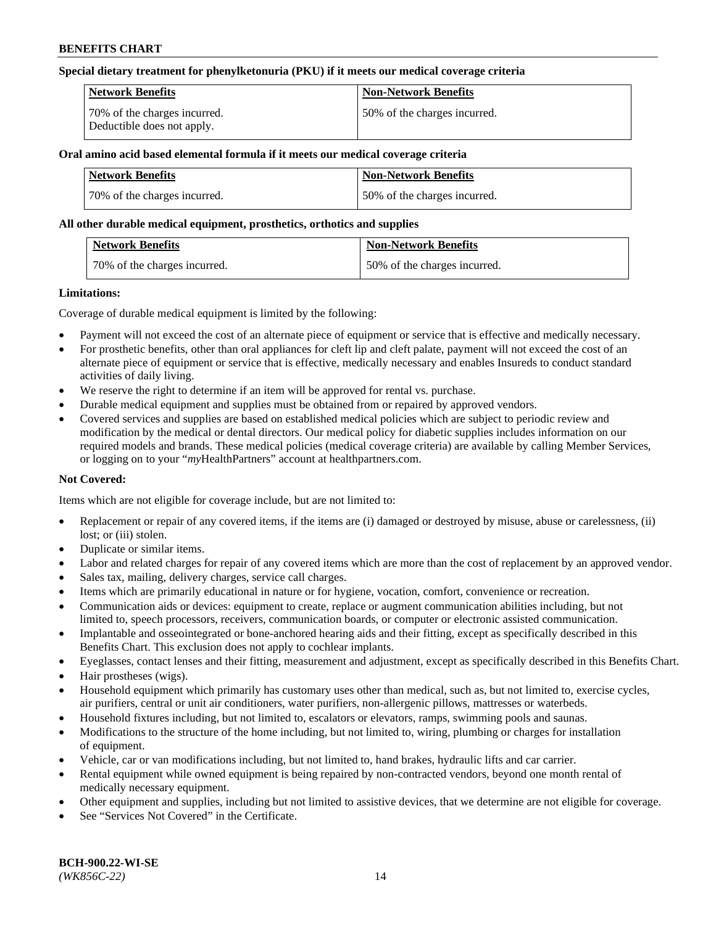### **Special dietary treatment for phenylketonuria (PKU) if it meets our medical coverage criteria**

| Network Benefits                                           | <b>Non-Network Benefits</b>  |
|------------------------------------------------------------|------------------------------|
| 70% of the charges incurred.<br>Deductible does not apply. | 50% of the charges incurred. |

## **Oral amino acid based elemental formula if it meets our medical coverage criteria**

| Network Benefits             | <b>Non-Network Benefits</b>  |
|------------------------------|------------------------------|
| 70% of the charges incurred. | 50% of the charges incurred. |

#### **All other durable medical equipment, prosthetics, orthotics and supplies**

| <b>Network Benefits</b>      | <b>Non-Network Benefits</b>  |
|------------------------------|------------------------------|
| 70% of the charges incurred. | 50% of the charges incurred. |

#### **Limitations:**

Coverage of durable medical equipment is limited by the following:

- Payment will not exceed the cost of an alternate piece of equipment or service that is effective and medically necessary.
- For prosthetic benefits, other than oral appliances for cleft lip and cleft palate, payment will not exceed the cost of an alternate piece of equipment or service that is effective, medically necessary and enables Insureds to conduct standard activities of daily living.
- We reserve the right to determine if an item will be approved for rental vs. purchase.
- Durable medical equipment and supplies must be obtained from or repaired by approved vendors.
- Covered services and supplies are based on established medical policies which are subject to periodic review and modification by the medical or dental directors. Our medical policy for diabetic supplies includes information on our required models and brands. These medical policies (medical coverage criteria) are available by calling Member Services, or logging on to your "*my*HealthPartners" account a[t healthpartners.com.](http://www.healthpartners.com/)

## **Not Covered:**

Items which are not eligible for coverage include, but are not limited to:

- Replacement or repair of any covered items, if the items are (i) damaged or destroyed by misuse, abuse or carelessness, (ii) lost; or (iii) stolen.
- Duplicate or similar items.
- Labor and related charges for repair of any covered items which are more than the cost of replacement by an approved vendor.
- Sales tax, mailing, delivery charges, service call charges.
- Items which are primarily educational in nature or for hygiene, vocation, comfort, convenience or recreation.
- Communication aids or devices: equipment to create, replace or augment communication abilities including, but not limited to, speech processors, receivers, communication boards, or computer or electronic assisted communication.
- Implantable and osseointegrated or bone-anchored hearing aids and their fitting, except as specifically described in this Benefits Chart. This exclusion does not apply to cochlear implants.
- Eyeglasses, contact lenses and their fitting, measurement and adjustment, except as specifically described in this Benefits Chart.
- Hair prostheses (wigs).
- Household equipment which primarily has customary uses other than medical, such as, but not limited to, exercise cycles, air purifiers, central or unit air conditioners, water purifiers, non-allergenic pillows, mattresses or waterbeds.
- Household fixtures including, but not limited to, escalators or elevators, ramps, swimming pools and saunas.
- Modifications to the structure of the home including, but not limited to, wiring, plumbing or charges for installation of equipment.
- Vehicle, car or van modifications including, but not limited to, hand brakes, hydraulic lifts and car carrier.
- Rental equipment while owned equipment is being repaired by non-contracted vendors, beyond one month rental of medically necessary equipment.
- Other equipment and supplies, including but not limited to assistive devices, that we determine are not eligible for coverage.
- See "Services Not Covered" in the Certificate.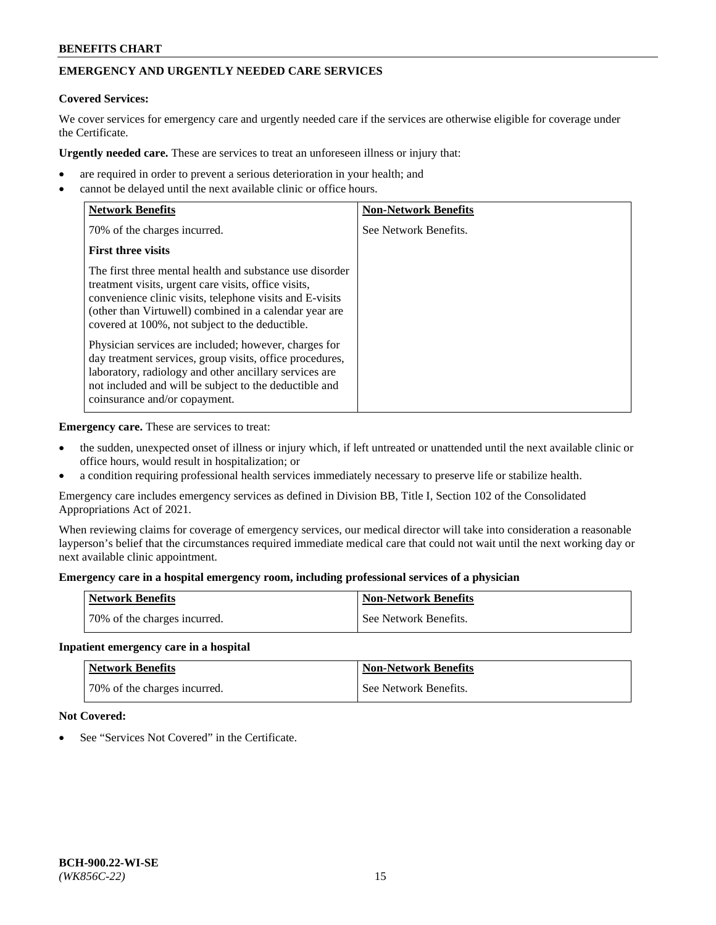## **EMERGENCY AND URGENTLY NEEDED CARE SERVICES**

#### **Covered Services:**

We cover services for emergency care and urgently needed care if the services are otherwise eligible for coverage under the Certificate.

**Urgently needed care.** These are services to treat an unforeseen illness or injury that:

- are required in order to prevent a serious deterioration in your health; and
- cannot be delayed until the next available clinic or office hours.

| <b>Network Benefits</b>                                                                                                                                                                                                                                                                   | <b>Non-Network Benefits</b> |
|-------------------------------------------------------------------------------------------------------------------------------------------------------------------------------------------------------------------------------------------------------------------------------------------|-----------------------------|
| 70% of the charges incurred.                                                                                                                                                                                                                                                              | See Network Benefits.       |
| <b>First three visits</b>                                                                                                                                                                                                                                                                 |                             |
| The first three mental health and substance use disorder<br>treatment visits, urgent care visits, office visits,<br>convenience clinic visits, telephone visits and E-visits<br>(other than Virtuwell) combined in a calendar year are<br>covered at 100%, not subject to the deductible. |                             |
| Physician services are included; however, charges for<br>day treatment services, group visits, office procedures,<br>laboratory, radiology and other ancillary services are<br>not included and will be subject to the deductible and<br>coinsurance and/or copayment.                    |                             |

**Emergency care.** These are services to treat:

- the sudden, unexpected onset of illness or injury which, if left untreated or unattended until the next available clinic or office hours, would result in hospitalization; or
- a condition requiring professional health services immediately necessary to preserve life or stabilize health.

Emergency care includes emergency services as defined in Division BB, Title I, Section 102 of the Consolidated Appropriations Act of 2021.

When reviewing claims for coverage of emergency services, our medical director will take into consideration a reasonable layperson's belief that the circumstances required immediate medical care that could not wait until the next working day or next available clinic appointment.

### **Emergency care in a hospital emergency room, including professional services of a physician**

| <b>Network Benefits</b>      | <b>Non-Network Benefits</b> |
|------------------------------|-----------------------------|
| 70% of the charges incurred. | See Network Benefits.       |

#### **Inpatient emergency care in a hospital**

| <b>Network Benefits</b>      | <b>Non-Network Benefits</b> |
|------------------------------|-----------------------------|
| 70% of the charges incurred. | See Network Benefits.       |

#### **Not Covered:**

See "Services Not Covered" in the Certificate.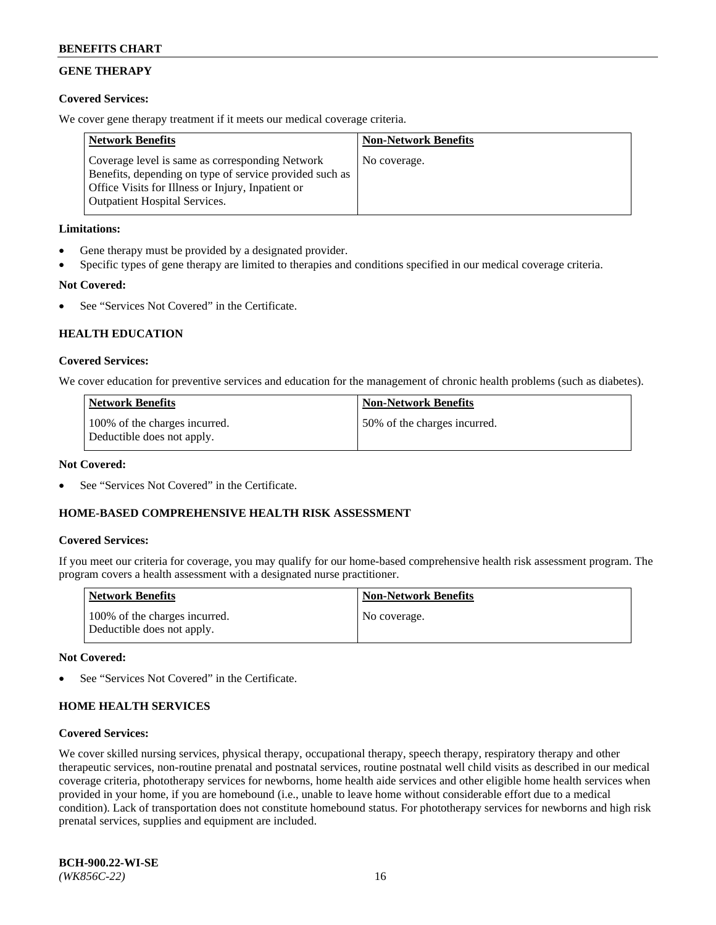## **GENE THERAPY**

## **Covered Services:**

We cover gene therapy treatment if it meets our medical coverage criteria.

| <b>Network Benefits</b>                                                                                                                                                                                 | <b>Non-Network Benefits</b> |
|---------------------------------------------------------------------------------------------------------------------------------------------------------------------------------------------------------|-----------------------------|
| Coverage level is same as corresponding Network<br>Benefits, depending on type of service provided such as<br>Office Visits for Illness or Injury, Inpatient or<br><b>Outpatient Hospital Services.</b> | No coverage.                |

## **Limitations:**

- Gene therapy must be provided by a designated provider.
- Specific types of gene therapy are limited to therapies and conditions specified in our medical coverage criteria.

## **Not Covered:**

See "Services Not Covered" in the Certificate.

## **HEALTH EDUCATION**

## **Covered Services:**

We cover education for preventive services and education for the management of chronic health problems (such as diabetes).

| Network Benefits                                            | <b>Non-Network Benefits</b>  |
|-------------------------------------------------------------|------------------------------|
| 100% of the charges incurred.<br>Deductible does not apply. | 50% of the charges incurred. |

### **Not Covered:**

See "Services Not Covered" in the Certificate.

## **HOME-BASED COMPREHENSIVE HEALTH RISK ASSESSMENT**

## **Covered Services:**

If you meet our criteria for coverage, you may qualify for our home-based comprehensive health risk assessment program. The program covers a health assessment with a designated nurse practitioner.

| <b>Network Benefits</b>                                     | <b>Non-Network Benefits</b> |
|-------------------------------------------------------------|-----------------------------|
| 100% of the charges incurred.<br>Deductible does not apply. | No coverage.                |

## **Not Covered:**

See "Services Not Covered" in the Certificate.

## **HOME HEALTH SERVICES**

## **Covered Services:**

We cover skilled nursing services, physical therapy, occupational therapy, speech therapy, respiratory therapy and other therapeutic services, non-routine prenatal and postnatal services, routine postnatal well child visits as described in our medical coverage criteria, phototherapy services for newborns, home health aide services and other eligible home health services when provided in your home, if you are homebound (i.e., unable to leave home without considerable effort due to a medical condition). Lack of transportation does not constitute homebound status. For phototherapy services for newborns and high risk prenatal services, supplies and equipment are included.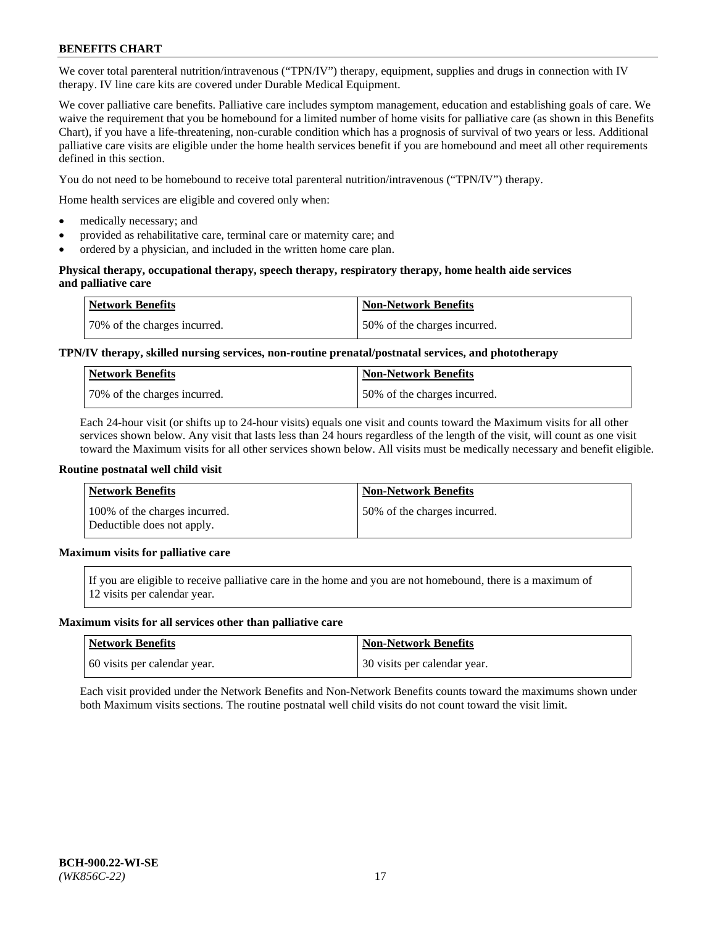We cover total parenteral nutrition/intravenous ("TPN/IV") therapy, equipment, supplies and drugs in connection with IV therapy. IV line care kits are covered under Durable Medical Equipment.

We cover palliative care benefits. Palliative care includes symptom management, education and establishing goals of care. We waive the requirement that you be homebound for a limited number of home visits for palliative care (as shown in this Benefits Chart), if you have a life-threatening, non-curable condition which has a prognosis of survival of two years or less. Additional palliative care visits are eligible under the home health services benefit if you are homebound and meet all other requirements defined in this section.

You do not need to be homebound to receive total parenteral nutrition/intravenous ("TPN/IV") therapy.

Home health services are eligible and covered only when:

- medically necessary; and
- provided as rehabilitative care, terminal care or maternity care; and
- ordered by a physician, and included in the written home care plan.

### **Physical therapy, occupational therapy, speech therapy, respiratory therapy, home health aide services and palliative care**

| <b>Network Benefits</b>      | <b>Non-Network Benefits</b>  |
|------------------------------|------------------------------|
| 70% of the charges incurred. | 50% of the charges incurred. |

## **TPN/IV therapy, skilled nursing services, non-routine prenatal/postnatal services, and phototherapy**

| <b>Network Benefits</b>      | Non-Network Benefits         |
|------------------------------|------------------------------|
| 70% of the charges incurred. | 50% of the charges incurred. |

Each 24-hour visit (or shifts up to 24-hour visits) equals one visit and counts toward the Maximum visits for all other services shown below. Any visit that lasts less than 24 hours regardless of the length of the visit, will count as one visit toward the Maximum visits for all other services shown below. All visits must be medically necessary and benefit eligible.

#### **Routine postnatal well child visit**

| <b>Network Benefits</b>                                     | <b>Non-Network Benefits</b>  |
|-------------------------------------------------------------|------------------------------|
| 100% of the charges incurred.<br>Deductible does not apply. | 50% of the charges incurred. |

## **Maximum visits for palliative care**

If you are eligible to receive palliative care in the home and you are not homebound, there is a maximum of 12 visits per calendar year.

#### **Maximum visits for all services other than palliative care**

| Network Benefits             | <b>Non-Network Benefits</b>  |
|------------------------------|------------------------------|
| 60 visits per calendar year. | 30 visits per calendar year. |

Each visit provided under the Network Benefits and Non-Network Benefits counts toward the maximums shown under both Maximum visits sections. The routine postnatal well child visits do not count toward the visit limit.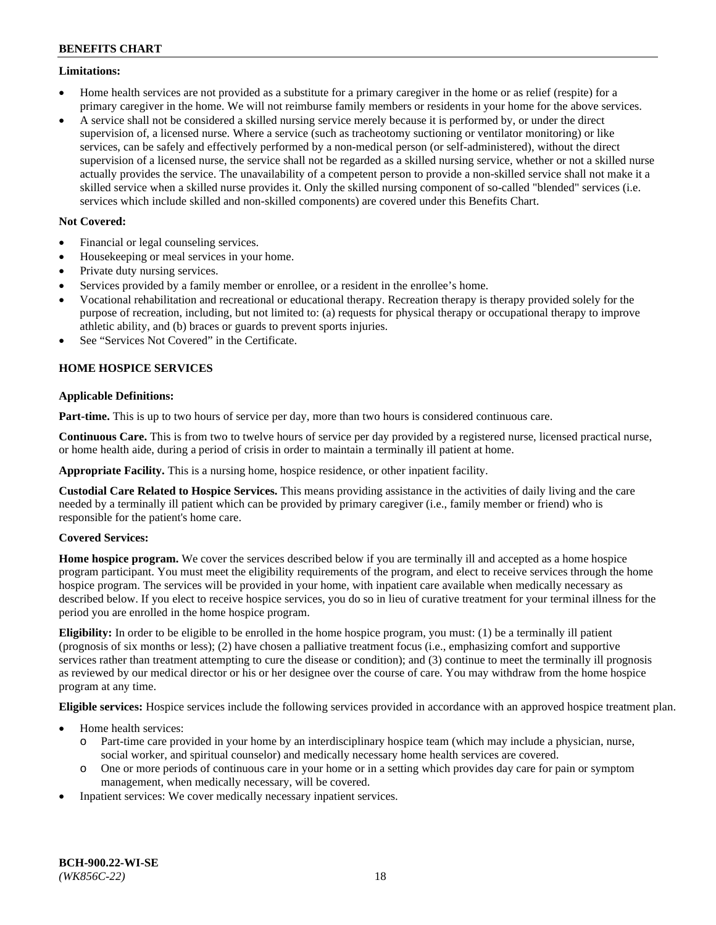### **Limitations:**

- Home health services are not provided as a substitute for a primary caregiver in the home or as relief (respite) for a primary caregiver in the home. We will not reimburse family members or residents in your home for the above services.
- A service shall not be considered a skilled nursing service merely because it is performed by, or under the direct supervision of, a licensed nurse. Where a service (such as tracheotomy suctioning or ventilator monitoring) or like services, can be safely and effectively performed by a non-medical person (or self-administered), without the direct supervision of a licensed nurse, the service shall not be regarded as a skilled nursing service, whether or not a skilled nurse actually provides the service. The unavailability of a competent person to provide a non-skilled service shall not make it a skilled service when a skilled nurse provides it. Only the skilled nursing component of so-called "blended" services (i.e. services which include skilled and non-skilled components) are covered under this Benefits Chart.

## **Not Covered:**

- Financial or legal counseling services.
- Housekeeping or meal services in your home.
- Private duty nursing services.
- Services provided by a family member or enrollee, or a resident in the enrollee's home.
- Vocational rehabilitation and recreational or educational therapy. Recreation therapy is therapy provided solely for the purpose of recreation, including, but not limited to: (a) requests for physical therapy or occupational therapy to improve athletic ability, and (b) braces or guards to prevent sports injuries.
- See "Services Not Covered" in the Certificate.

## **HOME HOSPICE SERVICES**

## **Applicable Definitions:**

**Part-time.** This is up to two hours of service per day, more than two hours is considered continuous care.

**Continuous Care.** This is from two to twelve hours of service per day provided by a registered nurse, licensed practical nurse, or home health aide, during a period of crisis in order to maintain a terminally ill patient at home.

**Appropriate Facility.** This is a nursing home, hospice residence, or other inpatient facility.

**Custodial Care Related to Hospice Services.** This means providing assistance in the activities of daily living and the care needed by a terminally ill patient which can be provided by primary caregiver (i.e., family member or friend) who is responsible for the patient's home care.

## **Covered Services:**

**Home hospice program.** We cover the services described below if you are terminally ill and accepted as a home hospice program participant. You must meet the eligibility requirements of the program, and elect to receive services through the home hospice program. The services will be provided in your home, with inpatient care available when medically necessary as described below. If you elect to receive hospice services, you do so in lieu of curative treatment for your terminal illness for the period you are enrolled in the home hospice program.

**Eligibility:** In order to be eligible to be enrolled in the home hospice program, you must: (1) be a terminally ill patient (prognosis of six months or less); (2) have chosen a palliative treatment focus (i.e., emphasizing comfort and supportive services rather than treatment attempting to cure the disease or condition); and (3) continue to meet the terminally ill prognosis as reviewed by our medical director or his or her designee over the course of care. You may withdraw from the home hospice program at any time.

**Eligible services:** Hospice services include the following services provided in accordance with an approved hospice treatment plan.

- Home health services:
	- o Part-time care provided in your home by an interdisciplinary hospice team (which may include a physician, nurse, social worker, and spiritual counselor) and medically necessary home health services are covered.
	- o One or more periods of continuous care in your home or in a setting which provides day care for pain or symptom management, when medically necessary, will be covered.
- Inpatient services: We cover medically necessary inpatient services.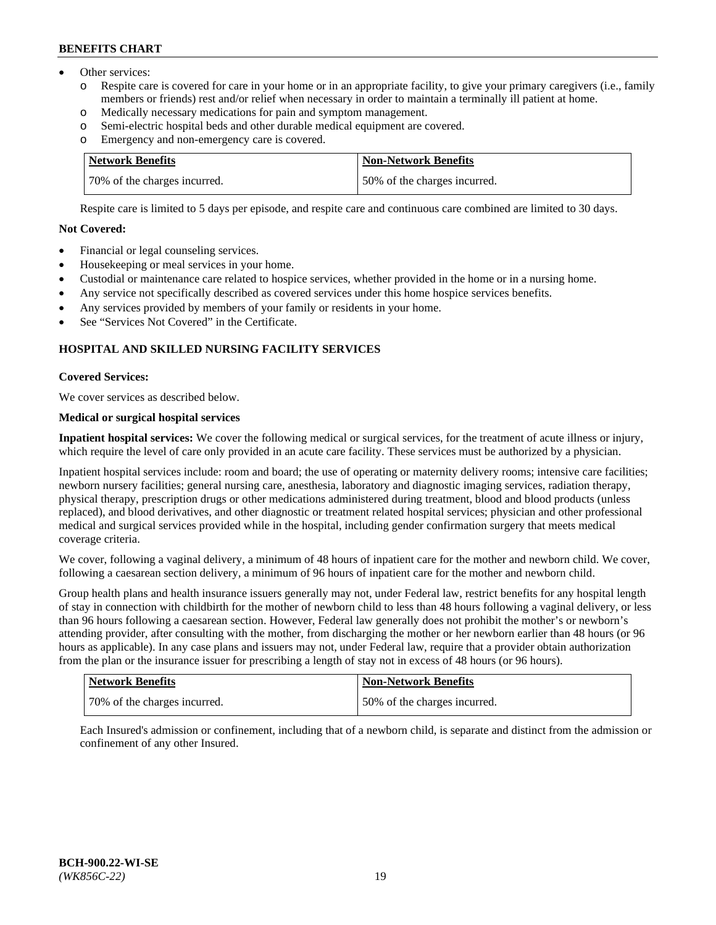- Other services:
	- Respite care is covered for care in your home or in an appropriate facility, to give your primary caregivers (i.e., family members or friends) rest and/or relief when necessary in order to maintain a terminally ill patient at home.
	- o Medically necessary medications for pain and symptom management.
	- o Semi-electric hospital beds and other durable medical equipment are covered.
	- Emergency and non-emergency care is covered.

| Network Benefits             | Non-Network Benefits         |
|------------------------------|------------------------------|
| 70% of the charges incurred. | 50% of the charges incurred. |

Respite care is limited to 5 days per episode, and respite care and continuous care combined are limited to 30 days.

## **Not Covered:**

- Financial or legal counseling services.
- Housekeeping or meal services in your home.
- Custodial or maintenance care related to hospice services, whether provided in the home or in a nursing home.
- Any service not specifically described as covered services under this home hospice services benefits.
- Any services provided by members of your family or residents in your home.
- See "Services Not Covered" in the Certificate.

## **HOSPITAL AND SKILLED NURSING FACILITY SERVICES**

#### **Covered Services:**

We cover services as described below.

## **Medical or surgical hospital services**

**Inpatient hospital services:** We cover the following medical or surgical services, for the treatment of acute illness or injury, which require the level of care only provided in an acute care facility. These services must be authorized by a physician.

Inpatient hospital services include: room and board; the use of operating or maternity delivery rooms; intensive care facilities; newborn nursery facilities; general nursing care, anesthesia, laboratory and diagnostic imaging services, radiation therapy, physical therapy, prescription drugs or other medications administered during treatment, blood and blood products (unless replaced), and blood derivatives, and other diagnostic or treatment related hospital services; physician and other professional medical and surgical services provided while in the hospital, including gender confirmation surgery that meets medical coverage criteria.

We cover, following a vaginal delivery, a minimum of 48 hours of inpatient care for the mother and newborn child. We cover, following a caesarean section delivery, a minimum of 96 hours of inpatient care for the mother and newborn child.

Group health plans and health insurance issuers generally may not, under Federal law, restrict benefits for any hospital length of stay in connection with childbirth for the mother of newborn child to less than 48 hours following a vaginal delivery, or less than 96 hours following a caesarean section. However, Federal law generally does not prohibit the mother's or newborn's attending provider, after consulting with the mother, from discharging the mother or her newborn earlier than 48 hours (or 96 hours as applicable). In any case plans and issuers may not, under Federal law, require that a provider obtain authorization from the plan or the insurance issuer for prescribing a length of stay not in excess of 48 hours (or 96 hours).

| <b>Network Benefits</b>      | <b>Non-Network Benefits</b>  |
|------------------------------|------------------------------|
| 70% of the charges incurred. | 50% of the charges incurred. |

Each Insured's admission or confinement, including that of a newborn child, is separate and distinct from the admission or confinement of any other Insured.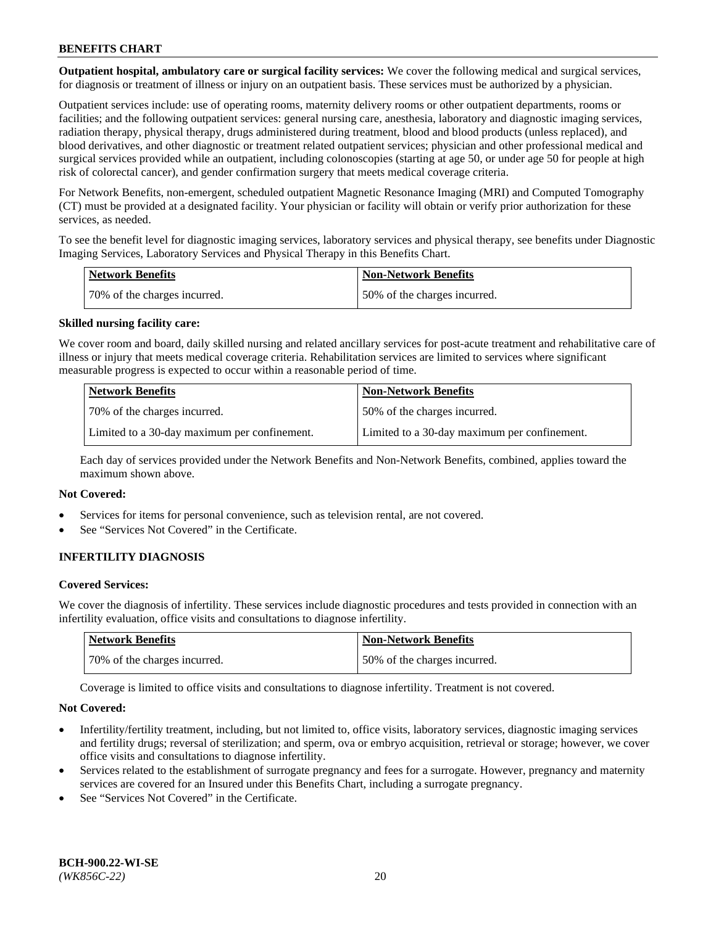**Outpatient hospital, ambulatory care or surgical facility services:** We cover the following medical and surgical services, for diagnosis or treatment of illness or injury on an outpatient basis. These services must be authorized by a physician.

Outpatient services include: use of operating rooms, maternity delivery rooms or other outpatient departments, rooms or facilities; and the following outpatient services: general nursing care, anesthesia, laboratory and diagnostic imaging services, radiation therapy, physical therapy, drugs administered during treatment, blood and blood products (unless replaced), and blood derivatives, and other diagnostic or treatment related outpatient services; physician and other professional medical and surgical services provided while an outpatient, including colonoscopies (starting at age 50, or under age 50 for people at high risk of colorectal cancer), and gender confirmation surgery that meets medical coverage criteria.

For Network Benefits, non-emergent, scheduled outpatient Magnetic Resonance Imaging (MRI) and Computed Tomography (CT) must be provided at a designated facility. Your physician or facility will obtain or verify prior authorization for these services, as needed.

To see the benefit level for diagnostic imaging services, laboratory services and physical therapy, see benefits under Diagnostic Imaging Services, Laboratory Services and Physical Therapy in this Benefits Chart.

| <b>Network Benefits</b>       | <b>Non-Network Benefits</b>  |
|-------------------------------|------------------------------|
| 170% of the charges incurred. | 50% of the charges incurred. |

#### **Skilled nursing facility care:**

We cover room and board, daily skilled nursing and related ancillary services for post-acute treatment and rehabilitative care of illness or injury that meets medical coverage criteria. Rehabilitation services are limited to services where significant measurable progress is expected to occur within a reasonable period of time.

| <b>Network Benefits</b> |                                              | <b>Non-Network Benefits</b>                  |
|-------------------------|----------------------------------------------|----------------------------------------------|
|                         | 70\% of the charges incurred.                | 50% of the charges incurred.                 |
|                         | Limited to a 30-day maximum per confinement. | Limited to a 30-day maximum per confinement. |

Each day of services provided under the Network Benefits and Non-Network Benefits, combined, applies toward the maximum shown above.

## **Not Covered:**

- Services for items for personal convenience, such as television rental, are not covered.
- See "Services Not Covered" in the Certificate.

## **INFERTILITY DIAGNOSIS**

#### **Covered Services:**

We cover the diagnosis of infertility. These services include diagnostic procedures and tests provided in connection with an infertility evaluation, office visits and consultations to diagnose infertility.

| Network Benefits             | <b>Non-Network Benefits</b>  |
|------------------------------|------------------------------|
| 70% of the charges incurred. | 50% of the charges incurred. |

Coverage is limited to office visits and consultations to diagnose infertility. Treatment is not covered.

#### **Not Covered:**

- Infertility/fertility treatment, including, but not limited to, office visits, laboratory services, diagnostic imaging services and fertility drugs; reversal of sterilization; and sperm, ova or embryo acquisition, retrieval or storage; however, we cover office visits and consultations to diagnose infertility.
- Services related to the establishment of surrogate pregnancy and fees for a surrogate. However, pregnancy and maternity services are covered for an Insured under this Benefits Chart, including a surrogate pregnancy.
- See "Services Not Covered" in the Certificate.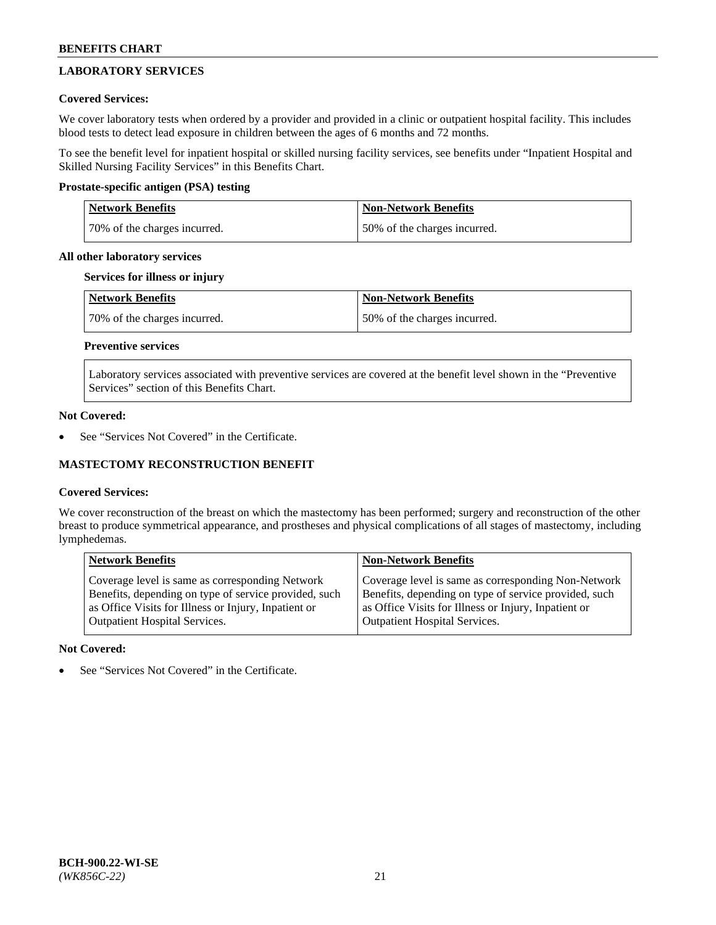# **LABORATORY SERVICES**

## **Covered Services:**

We cover laboratory tests when ordered by a provider and provided in a clinic or outpatient hospital facility. This includes blood tests to detect lead exposure in children between the ages of 6 months and 72 months.

To see the benefit level for inpatient hospital or skilled nursing facility services, see benefits under "Inpatient Hospital and Skilled Nursing Facility Services" in this Benefits Chart.

## **Prostate-specific antigen (PSA) testing**

| <b>Network Benefits</b>      | <b>Non-Network Benefits</b>  |
|------------------------------|------------------------------|
| 70% of the charges incurred. | 50% of the charges incurred. |

#### **All other laboratory services**

### **Services for illness or injury**

| Network Benefits             | <b>Non-Network Benefits</b>  |
|------------------------------|------------------------------|
| 70% of the charges incurred. | 50% of the charges incurred. |

## **Preventive services**

Laboratory services associated with preventive services are covered at the benefit level shown in the "Preventive Services" section of this Benefits Chart.

#### **Not Covered:**

See "Services Not Covered" in the Certificate.

## **MASTECTOMY RECONSTRUCTION BENEFIT**

## **Covered Services:**

We cover reconstruction of the breast on which the mastectomy has been performed; surgery and reconstruction of the other breast to produce symmetrical appearance, and prostheses and physical complications of all stages of mastectomy, including lymphedemas.

| <b>Network Benefits</b>                               | <b>Non-Network Benefits</b>                           |
|-------------------------------------------------------|-------------------------------------------------------|
| Coverage level is same as corresponding Network       | Coverage level is same as corresponding Non-Network   |
| Benefits, depending on type of service provided, such | Benefits, depending on type of service provided, such |
| as Office Visits for Illness or Injury, Inpatient or  | as Office Visits for Illness or Injury, Inpatient or  |
| <b>Outpatient Hospital Services.</b>                  | <b>Outpatient Hospital Services.</b>                  |

## **Not Covered:**

See "Services Not Covered" in the Certificate.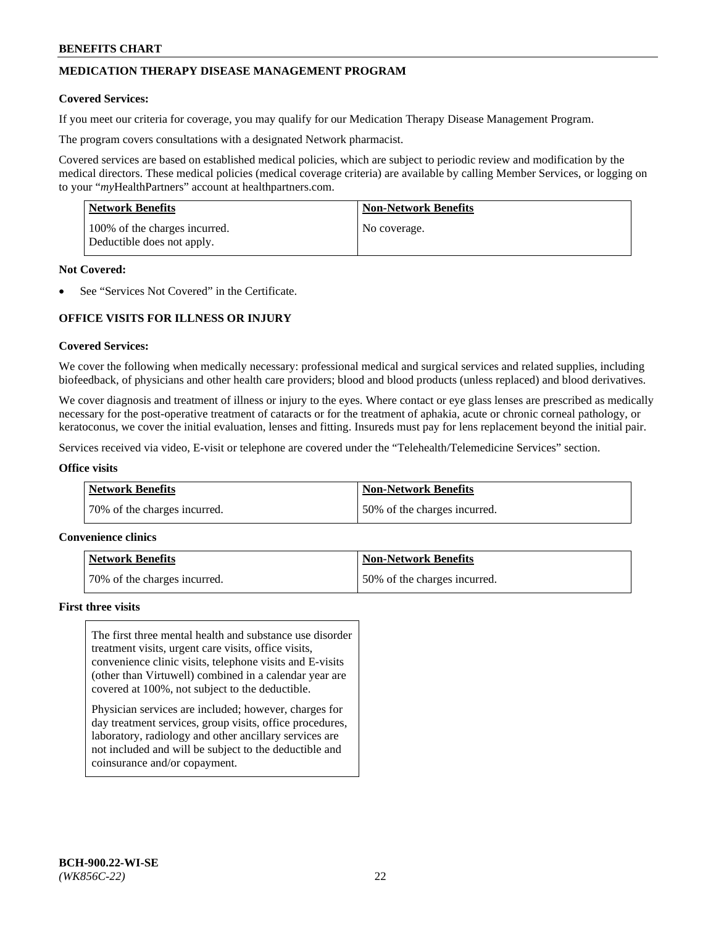## **MEDICATION THERAPY DISEASE MANAGEMENT PROGRAM**

#### **Covered Services:**

If you meet our criteria for coverage, you may qualify for our Medication Therapy Disease Management Program.

The program covers consultations with a designated Network pharmacist.

Covered services are based on established medical policies, which are subject to periodic review and modification by the medical directors. These medical policies (medical coverage criteria) are available by calling Member Services, or logging on to your "*my*HealthPartners" account at [healthpartners.com.](http://www.healthpartners.com/)

| <b>Network Benefits</b>                                     | <b>Non-Network Benefits</b> |
|-------------------------------------------------------------|-----------------------------|
| 100% of the charges incurred.<br>Deductible does not apply. | No coverage.                |

#### **Not Covered:**

See "Services Not Covered" in the Certificate.

## **OFFICE VISITS FOR ILLNESS OR INJURY**

#### **Covered Services:**

We cover the following when medically necessary: professional medical and surgical services and related supplies, including biofeedback, of physicians and other health care providers; blood and blood products (unless replaced) and blood derivatives.

We cover diagnosis and treatment of illness or injury to the eyes. Where contact or eye glass lenses are prescribed as medically necessary for the post-operative treatment of cataracts or for the treatment of aphakia, acute or chronic corneal pathology, or keratoconus, we cover the initial evaluation, lenses and fitting. Insureds must pay for lens replacement beyond the initial pair.

Services received via video, E-visit or telephone are covered under the "Telehealth/Telemedicine Services" section.

#### **Office visits**

| <b>Network Benefits</b>      | <b>Non-Network Benefits</b>  |
|------------------------------|------------------------------|
| 70% of the charges incurred. | 50% of the charges incurred. |

#### **Convenience clinics**

| Network Benefits             | <b>Non-Network Benefits</b>  |
|------------------------------|------------------------------|
| 70% of the charges incurred. | 50% of the charges incurred. |

#### **First three visits**

The first three mental health and substance use disorder treatment visits, urgent care visits, office visits, convenience clinic visits, telephone visits and E-visits (other than Virtuwell) combined in a calendar year are covered at 100%, not subject to the deductible.

Physician services are included; however, charges for day treatment services, group visits, office procedures, laboratory, radiology and other ancillary services are not included and will be subject to the deductible and coinsurance and/or copayment.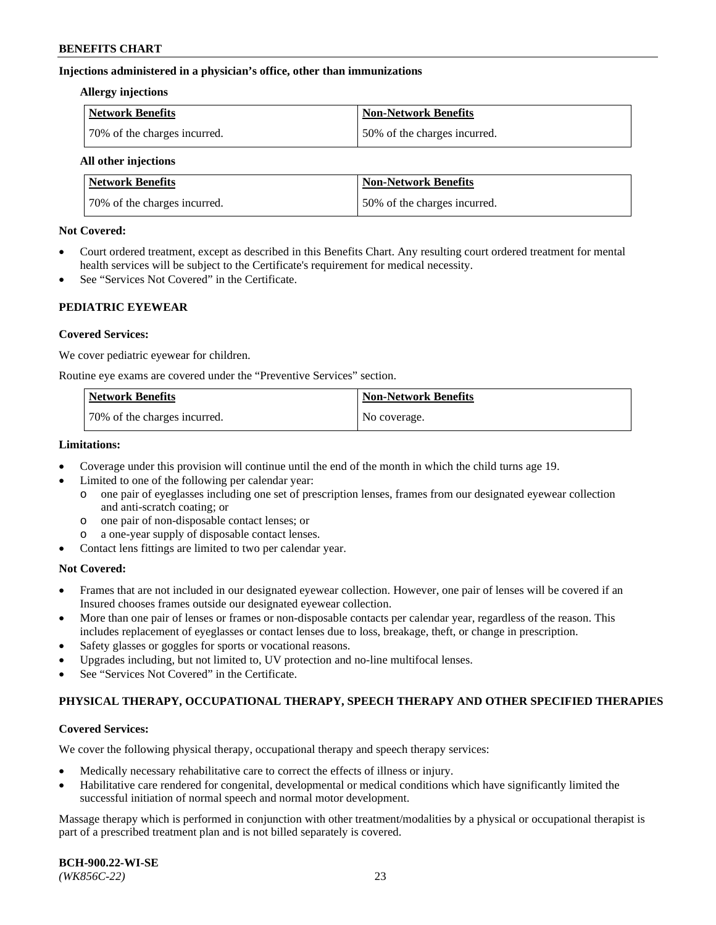#### **Injections administered in a physician's office, other than immunizations**

#### **Allergy injections**

| <b>Network Benefits</b>      | Non-Network Benefits         |
|------------------------------|------------------------------|
| 70% of the charges incurred. | 50% of the charges incurred. |

#### **All other injections**

| <b>Network Benefits</b>      | <b>Non-Network Benefits</b>  |
|------------------------------|------------------------------|
| 70% of the charges incurred. | 50% of the charges incurred. |

#### **Not Covered:**

- Court ordered treatment, except as described in this Benefits Chart. Any resulting court ordered treatment for mental health services will be subject to the Certificate's requirement for medical necessity.
- See "Services Not Covered" in the Certificate.

## **PEDIATRIC EYEWEAR**

#### **Covered Services:**

We cover pediatric eyewear for children.

Routine eye exams are covered under the "Preventive Services" section.

| <b>Network Benefits</b>      | <b>Non-Network Benefits</b> |
|------------------------------|-----------------------------|
| 70% of the charges incurred. | No coverage.                |

#### **Limitations:**

- Coverage under this provision will continue until the end of the month in which the child turns age 19.
- Limited to one of the following per calendar year:
	- o one pair of eyeglasses including one set of prescription lenses, frames from our designated eyewear collection and anti-scratch coating; or
	- o one pair of non-disposable contact lenses; or
	- o a one-year supply of disposable contact lenses.
- Contact lens fittings are limited to two per calendar year.

## **Not Covered:**

- Frames that are not included in our designated eyewear collection. However, one pair of lenses will be covered if an Insured chooses frames outside our designated eyewear collection.
- More than one pair of lenses or frames or non-disposable contacts per calendar year, regardless of the reason. This includes replacement of eyeglasses or contact lenses due to loss, breakage, theft, or change in prescription.
- Safety glasses or goggles for sports or vocational reasons.
- Upgrades including, but not limited to, UV protection and no-line multifocal lenses.
- See "Services Not Covered" in the Certificate.

## **PHYSICAL THERAPY, OCCUPATIONAL THERAPY, SPEECH THERAPY AND OTHER SPECIFIED THERAPIES**

## **Covered Services:**

We cover the following physical therapy, occupational therapy and speech therapy services:

- Medically necessary rehabilitative care to correct the effects of illness or injury.
- Habilitative care rendered for congenital, developmental or medical conditions which have significantly limited the successful initiation of normal speech and normal motor development.

Massage therapy which is performed in conjunction with other treatment/modalities by a physical or occupational therapist is part of a prescribed treatment plan and is not billed separately is covered.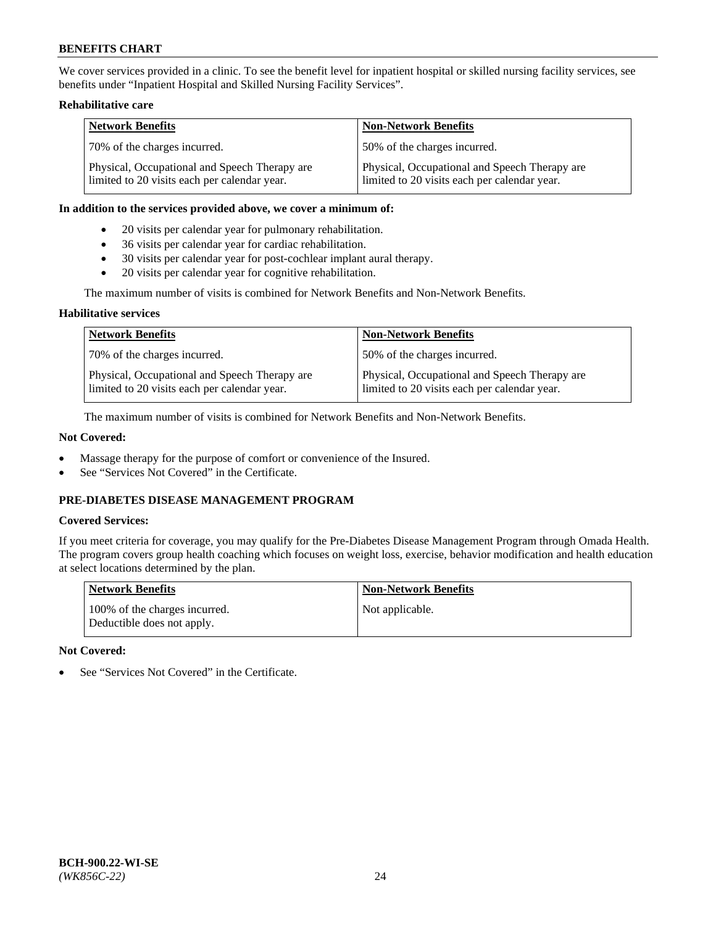We cover services provided in a clinic. To see the benefit level for inpatient hospital or skilled nursing facility services, see benefits under "Inpatient Hospital and Skilled Nursing Facility Services".

## **Rehabilitative care**

| <b>Network Benefits</b>                                                                       | <b>Non-Network Benefits</b>                                                                   |
|-----------------------------------------------------------------------------------------------|-----------------------------------------------------------------------------------------------|
| 70% of the charges incurred.                                                                  | 50% of the charges incurred.                                                                  |
| Physical, Occupational and Speech Therapy are<br>limited to 20 visits each per calendar year. | Physical, Occupational and Speech Therapy are<br>limited to 20 visits each per calendar year. |

#### **In addition to the services provided above, we cover a minimum of:**

- 20 visits per calendar year for pulmonary rehabilitation.
- 36 visits per calendar year for cardiac rehabilitation.
- 30 visits per calendar year for post-cochlear implant aural therapy.
- 20 visits per calendar year for cognitive rehabilitation.

The maximum number of visits is combined for Network Benefits and Non-Network Benefits.

## **Habilitative services**

| <b>Network Benefits</b>                                                                       | <b>Non-Network Benefits</b>                                                                   |
|-----------------------------------------------------------------------------------------------|-----------------------------------------------------------------------------------------------|
| 70% of the charges incurred.                                                                  | 50% of the charges incurred.                                                                  |
| Physical, Occupational and Speech Therapy are<br>limited to 20 visits each per calendar year. | Physical, Occupational and Speech Therapy are<br>limited to 20 visits each per calendar year. |

The maximum number of visits is combined for Network Benefits and Non-Network Benefits.

## **Not Covered:**

- Massage therapy for the purpose of comfort or convenience of the Insured.
- See "Services Not Covered" in the Certificate.

## **PRE-DIABETES DISEASE MANAGEMENT PROGRAM**

## **Covered Services:**

If you meet criteria for coverage, you may qualify for the Pre-Diabetes Disease Management Program through Omada Health. The program covers group health coaching which focuses on weight loss, exercise, behavior modification and health education at select locations determined by the plan.

| <b>Network Benefits</b>                                     | <b>Non-Network Benefits</b> |
|-------------------------------------------------------------|-----------------------------|
| 100% of the charges incurred.<br>Deductible does not apply. | Not applicable.             |

## **Not Covered:**

See "Services Not Covered" in the Certificate.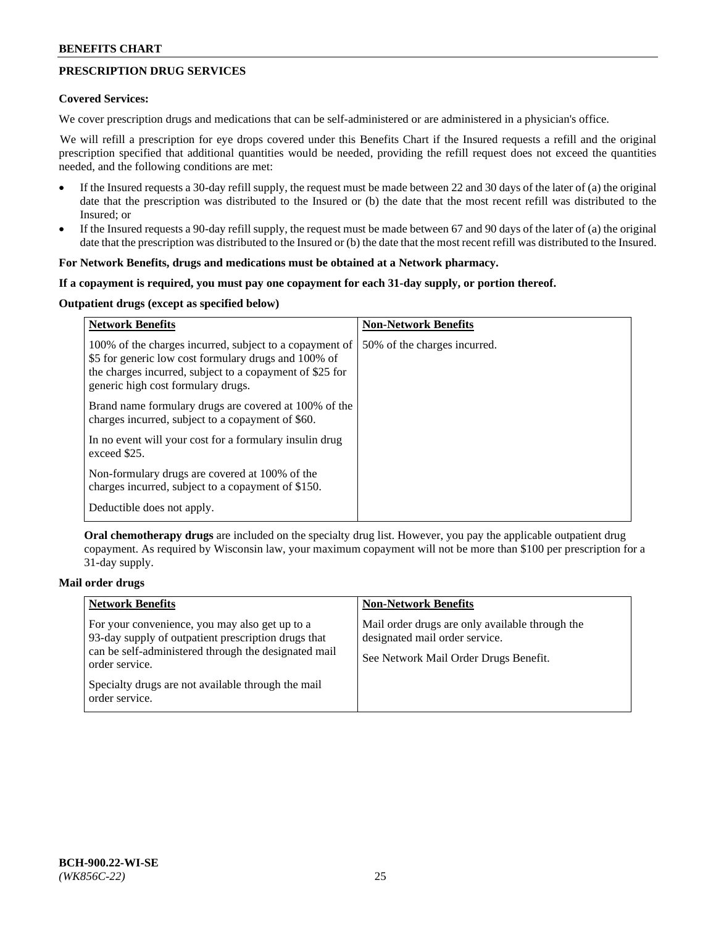## **PRESCRIPTION DRUG SERVICES**

#### **Covered Services:**

We cover prescription drugs and medications that can be self-administered or are administered in a physician's office.

We will refill a prescription for eye drops covered under this Benefits Chart if the Insured requests a refill and the original prescription specified that additional quantities would be needed, providing the refill request does not exceed the quantities needed, and the following conditions are met:

- If the Insured requests a 30-day refill supply, the request must be made between 22 and 30 days of the later of (a) the original date that the prescription was distributed to the Insured or (b) the date that the most recent refill was distributed to the Insured; or
- If the Insured requests a 90-day refill supply, the request must be made between 67 and 90 days of the later of (a) the original date that the prescription was distributed to the Insured or (b) the date that the most recent refill was distributed to the Insured.

### **For Network Benefits, drugs and medications must be obtained at a Network pharmacy.**

#### **If a copayment is required, you must pay one copayment for each 31-day supply, or portion thereof.**

## **Outpatient drugs (except as specified below)**

| <b>Network Benefits</b>                                                                                                                                                                                           | <b>Non-Network Benefits</b>  |
|-------------------------------------------------------------------------------------------------------------------------------------------------------------------------------------------------------------------|------------------------------|
| 100% of the charges incurred, subject to a copayment of<br>\$5 for generic low cost formulary drugs and 100% of<br>the charges incurred, subject to a copayment of \$25 for<br>generic high cost formulary drugs. | 50% of the charges incurred. |
| Brand name formulary drugs are covered at 100% of the<br>charges incurred, subject to a copayment of \$60.                                                                                                        |                              |
| In no event will your cost for a formulary insulin drug<br>exceed \$25.                                                                                                                                           |                              |
| Non-formulary drugs are covered at 100% of the<br>charges incurred, subject to a copayment of \$150.                                                                                                              |                              |
| Deductible does not apply.                                                                                                                                                                                        |                              |

**Oral chemotherapy drugs** are included on the specialty drug list. However, you pay the applicable outpatient drug copayment. As required by Wisconsin law, your maximum copayment will not be more than \$100 per prescription for a 31-day supply.

## **Mail order drugs**

| <b>Network Benefits</b>                                                                                                                                                         | <b>Non-Network Benefits</b>                                                                                                |
|---------------------------------------------------------------------------------------------------------------------------------------------------------------------------------|----------------------------------------------------------------------------------------------------------------------------|
| For your convenience, you may also get up to a<br>93-day supply of outpatient prescription drugs that<br>can be self-administered through the designated mail<br>order service. | Mail order drugs are only available through the<br>designated mail order service.<br>See Network Mail Order Drugs Benefit. |
| Specialty drugs are not available through the mail<br>order service.                                                                                                            |                                                                                                                            |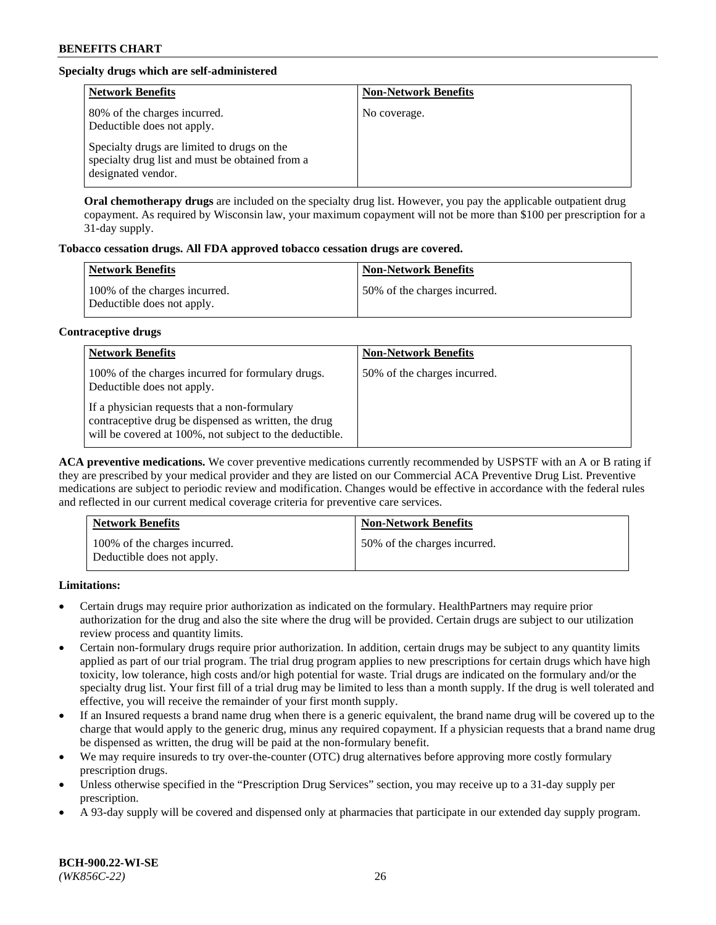## **Specialty drugs which are self-administered**

| <b>Network Benefits</b>                                                                                              | <b>Non-Network Benefits</b> |
|----------------------------------------------------------------------------------------------------------------------|-----------------------------|
| 80% of the charges incurred.<br>Deductible does not apply.                                                           | No coverage.                |
| Specialty drugs are limited to drugs on the<br>specialty drug list and must be obtained from a<br>designated vendor. |                             |

**Oral chemotherapy drugs** are included on the specialty drug list. However, you pay the applicable outpatient drug copayment. As required by Wisconsin law, your maximum copayment will not be more than \$100 per prescription for a 31-day supply.

## **Tobacco cessation drugs. All FDA approved tobacco cessation drugs are covered.**

| <b>Network Benefits</b>                                     | <b>Non-Network Benefits</b>  |
|-------------------------------------------------------------|------------------------------|
| 100% of the charges incurred.<br>Deductible does not apply. | 50% of the charges incurred. |

## **Contraceptive drugs**

| <b>Network Benefits</b>                                                                                                                                         | <b>Non-Network Benefits</b>  |
|-----------------------------------------------------------------------------------------------------------------------------------------------------------------|------------------------------|
| 100% of the charges incurred for formulary drugs.<br>Deductible does not apply.                                                                                 | 50% of the charges incurred. |
| If a physician requests that a non-formulary<br>contraceptive drug be dispensed as written, the drug<br>will be covered at 100%, not subject to the deductible. |                              |

**ACA preventive medications.** We cover preventive medications currently recommended by USPSTF with an A or B rating if they are prescribed by your medical provider and they are listed on our Commercial ACA Preventive Drug List. Preventive medications are subject to periodic review and modification. Changes would be effective in accordance with the federal rules and reflected in our current medical coverage criteria for preventive care services.

| <b>Network Benefits</b>                                     | <b>Non-Network Benefits</b>  |
|-------------------------------------------------------------|------------------------------|
| 100% of the charges incurred.<br>Deductible does not apply. | 50% of the charges incurred. |

**Limitations:**

- Certain drugs may require prior authorization as indicated on the formulary. HealthPartners may require prior authorization for the drug and also the site where the drug will be provided. Certain drugs are subject to our utilization review process and quantity limits.
- Certain non-formulary drugs require prior authorization. In addition, certain drugs may be subject to any quantity limits applied as part of our trial program. The trial drug program applies to new prescriptions for certain drugs which have high toxicity, low tolerance, high costs and/or high potential for waste. Trial drugs are indicated on the formulary and/or the specialty drug list. Your first fill of a trial drug may be limited to less than a month supply. If the drug is well tolerated and effective, you will receive the remainder of your first month supply.
- If an Insured requests a brand name drug when there is a generic equivalent, the brand name drug will be covered up to the charge that would apply to the generic drug, minus any required copayment. If a physician requests that a brand name drug be dispensed as written, the drug will be paid at the non-formulary benefit.
- We may require insureds to try over-the-counter (OTC) drug alternatives before approving more costly formulary prescription drugs.
- Unless otherwise specified in the "Prescription Drug Services" section, you may receive up to a 31-day supply per prescription.
- A 93-day supply will be covered and dispensed only at pharmacies that participate in our extended day supply program.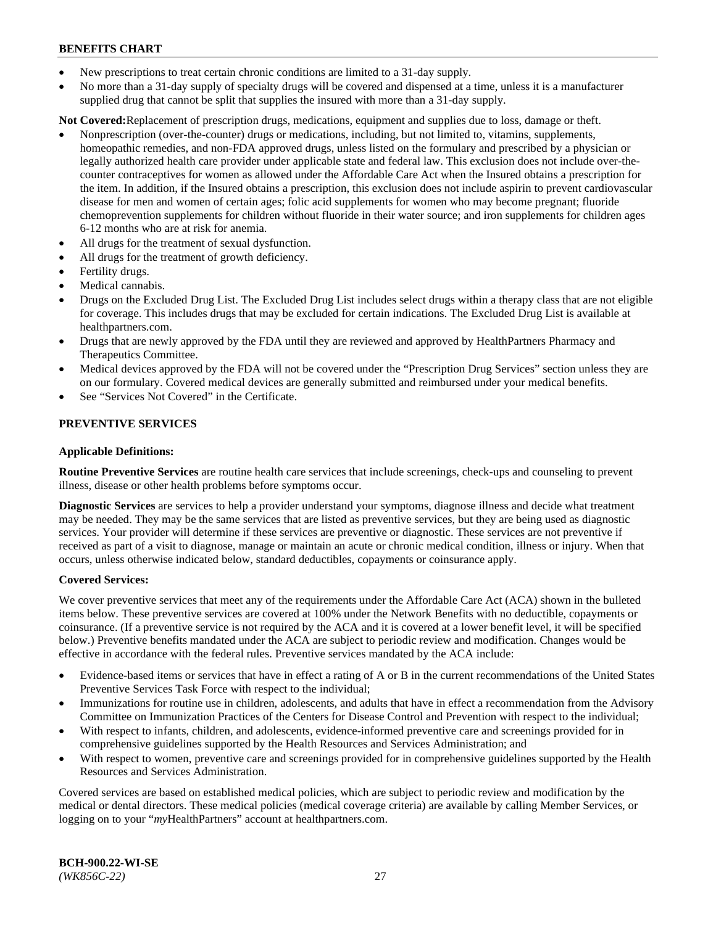- New prescriptions to treat certain chronic conditions are limited to a 31-day supply.
- No more than a 31-day supply of specialty drugs will be covered and dispensed at a time, unless it is a manufacturer supplied drug that cannot be split that supplies the insured with more than a 31-day supply.

**Not Covered:**Replacement of prescription drugs, medications, equipment and supplies due to loss, damage or theft.

- Nonprescription (over-the-counter) drugs or medications, including, but not limited to, vitamins, supplements, homeopathic remedies, and non-FDA approved drugs, unless listed on the formulary and prescribed by a physician or legally authorized health care provider under applicable state and federal law. This exclusion does not include over-thecounter contraceptives for women as allowed under the Affordable Care Act when the Insured obtains a prescription for the item. In addition, if the Insured obtains a prescription, this exclusion does not include aspirin to prevent cardiovascular disease for men and women of certain ages; folic acid supplements for women who may become pregnant; fluoride chemoprevention supplements for children without fluoride in their water source; and iron supplements for children ages 6-12 months who are at risk for anemia.
- All drugs for the treatment of sexual dysfunction.
- All drugs for the treatment of growth deficiency.
- Fertility drugs.
- Medical cannabis.
- Drugs on the Excluded Drug List. The Excluded Drug List includes select drugs within a therapy class that are not eligible for coverage. This includes drugs that may be excluded for certain indications. The Excluded Drug List is available at [healthpartners.com.](http://www.healthpartners.com/)
- Drugs that are newly approved by the FDA until they are reviewed and approved by HealthPartners Pharmacy and Therapeutics Committee.
- Medical devices approved by the FDA will not be covered under the "Prescription Drug Services" section unless they are on our formulary. Covered medical devices are generally submitted and reimbursed under your medical benefits.
- See "Services Not Covered" in the Certificate.

## **PREVENTIVE SERVICES**

#### **Applicable Definitions:**

**Routine Preventive Services** are routine health care services that include screenings, check-ups and counseling to prevent illness, disease or other health problems before symptoms occur.

**Diagnostic Services** are services to help a provider understand your symptoms, diagnose illness and decide what treatment may be needed. They may be the same services that are listed as preventive services, but they are being used as diagnostic services. Your provider will determine if these services are preventive or diagnostic. These services are not preventive if received as part of a visit to diagnose, manage or maintain an acute or chronic medical condition, illness or injury. When that occurs, unless otherwise indicated below, standard deductibles, copayments or coinsurance apply.

#### **Covered Services:**

We cover preventive services that meet any of the requirements under the Affordable Care Act (ACA) shown in the bulleted items below. These preventive services are covered at 100% under the Network Benefits with no deductible, copayments or coinsurance. (If a preventive service is not required by the ACA and it is covered at a lower benefit level, it will be specified below.) Preventive benefits mandated under the ACA are subject to periodic review and modification. Changes would be effective in accordance with the federal rules. Preventive services mandated by the ACA include:

- Evidence-based items or services that have in effect a rating of A or B in the current recommendations of the United States Preventive Services Task Force with respect to the individual;
- Immunizations for routine use in children, adolescents, and adults that have in effect a recommendation from the Advisory Committee on Immunization Practices of the Centers for Disease Control and Prevention with respect to the individual;
- With respect to infants, children, and adolescents, evidence-informed preventive care and screenings provided for in comprehensive guidelines supported by the Health Resources and Services Administration; and
- With respect to women, preventive care and screenings provided for in comprehensive guidelines supported by the Health Resources and Services Administration.

Covered services are based on established medical policies, which are subject to periodic review and modification by the medical or dental directors. These medical policies (medical coverage criteria) are available by calling Member Services, or logging on to your "*my*HealthPartners" account at [healthpartners.com.](https://www.healthpartners.com/hp/index.html)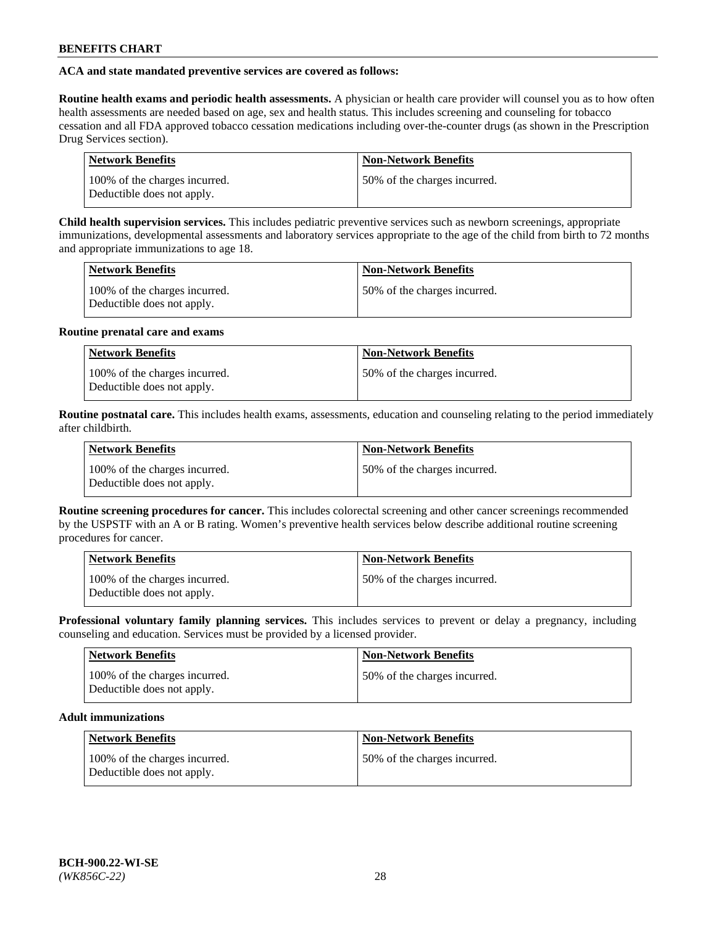## **ACA and state mandated preventive services are covered as follows:**

**Routine health exams and periodic health assessments.** A physician or health care provider will counsel you as to how often health assessments are needed based on age, sex and health status. This includes screening and counseling for tobacco cessation and all FDA approved tobacco cessation medications including over-the-counter drugs (as shown in the Prescription Drug Services section).

| <b>Network Benefits</b>                                     | <b>Non-Network Benefits</b>   |
|-------------------------------------------------------------|-------------------------------|
| 100% of the charges incurred.<br>Deductible does not apply. | 150% of the charges incurred. |

**Child health supervision services.** This includes pediatric preventive services such as newborn screenings, appropriate immunizations, developmental assessments and laboratory services appropriate to the age of the child from birth to 72 months and appropriate immunizations to age 18.

| <b>Network Benefits</b>                                     | <b>Non-Network Benefits</b>  |
|-------------------------------------------------------------|------------------------------|
| 100% of the charges incurred.<br>Deductible does not apply. | 50% of the charges incurred. |

#### **Routine prenatal care and exams**

| <b>Network Benefits</b>                                     | <b>Non-Network Benefits</b>  |
|-------------------------------------------------------------|------------------------------|
| 100% of the charges incurred.<br>Deductible does not apply. | 50% of the charges incurred. |

**Routine postnatal care.** This includes health exams, assessments, education and counseling relating to the period immediately after childbirth.

| <b>Network Benefits</b>                                     | <b>Non-Network Benefits</b>  |
|-------------------------------------------------------------|------------------------------|
| 100% of the charges incurred.<br>Deductible does not apply. | 50% of the charges incurred. |

**Routine screening procedures for cancer.** This includes colorectal screening and other cancer screenings recommended by the USPSTF with an A or B rating. Women's preventive health services below describe additional routine screening procedures for cancer.

| <b>Network Benefits</b>                                     | <b>Non-Network Benefits</b>   |
|-------------------------------------------------------------|-------------------------------|
| 100% of the charges incurred.<br>Deductible does not apply. | 150% of the charges incurred. |

**Professional voluntary family planning services.** This includes services to prevent or delay a pregnancy, including counseling and education. Services must be provided by a licensed provider.

| <b>Network Benefits</b>                                     | <b>Non-Network Benefits</b>  |
|-------------------------------------------------------------|------------------------------|
| 100% of the charges incurred.<br>Deductible does not apply. | 50% of the charges incurred. |

## **Adult immunizations**

| Network Benefits                                            | <b>Non-Network Benefits</b>  |
|-------------------------------------------------------------|------------------------------|
| 100% of the charges incurred.<br>Deductible does not apply. | 50% of the charges incurred. |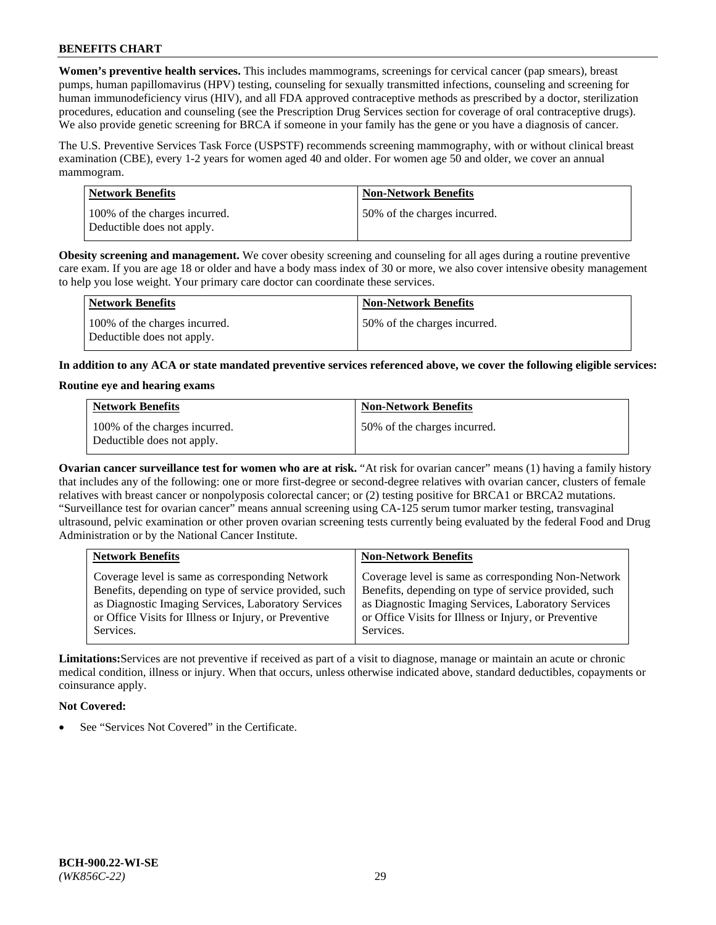**Women's preventive health services.** This includes mammograms, screenings for cervical cancer (pap smears), breast pumps, human papillomavirus (HPV) testing, counseling for sexually transmitted infections, counseling and screening for human immunodeficiency virus (HIV), and all FDA approved contraceptive methods as prescribed by a doctor, sterilization procedures, education and counseling (see the Prescription Drug Services section for coverage of oral contraceptive drugs). We also provide genetic screening for BRCA if someone in your family has the gene or you have a diagnosis of cancer.

The U.S. Preventive Services Task Force (USPSTF) recommends screening mammography, with or without clinical breast examination (CBE), every 1-2 years for women aged 40 and older. For women age 50 and older, we cover an annual mammogram.

| <b>Network Benefits</b>                                     | <b>Non-Network Benefits</b>  |
|-------------------------------------------------------------|------------------------------|
| 100% of the charges incurred.<br>Deductible does not apply. | 50% of the charges incurred. |

**Obesity screening and management.** We cover obesity screening and counseling for all ages during a routine preventive care exam. If you are age 18 or older and have a body mass index of 30 or more, we also cover intensive obesity management to help you lose weight. Your primary care doctor can coordinate these services.

| Network Benefits                                            | <b>Non-Network Benefits</b>  |
|-------------------------------------------------------------|------------------------------|
| 100% of the charges incurred.<br>Deductible does not apply. | 50% of the charges incurred. |

**In addition to any ACA or state mandated preventive services referenced above, we cover the following eligible services:**

#### **Routine eye and hearing exams**

| <b>Network Benefits</b>                                     | <b>Non-Network Benefits</b>  |
|-------------------------------------------------------------|------------------------------|
| 100% of the charges incurred.<br>Deductible does not apply. | 50% of the charges incurred. |

**Ovarian cancer surveillance test for women who are at risk.** "At risk for ovarian cancer" means (1) having a family history that includes any of the following: one or more first-degree or second-degree relatives with ovarian cancer, clusters of female relatives with breast cancer or nonpolyposis colorectal cancer; or (2) testing positive for BRCA1 or BRCA2 mutations. "Surveillance test for ovarian cancer" means annual screening using CA-125 serum tumor marker testing, transvaginal ultrasound, pelvic examination or other proven ovarian screening tests currently being evaluated by the federal Food and Drug Administration or by the National Cancer Institute.

| <b>Network Benefits</b>                               | <b>Non-Network Benefits</b>                           |
|-------------------------------------------------------|-------------------------------------------------------|
| Coverage level is same as corresponding Network       | Coverage level is same as corresponding Non-Network   |
| Benefits, depending on type of service provided, such | Benefits, depending on type of service provided, such |
| as Diagnostic Imaging Services, Laboratory Services   | as Diagnostic Imaging Services, Laboratory Services   |
| or Office Visits for Illness or Injury, or Preventive | or Office Visits for Illness or Injury, or Preventive |
| Services.                                             | Services.                                             |

**Limitations:**Services are not preventive if received as part of a visit to diagnose, manage or maintain an acute or chronic medical condition, illness or injury. When that occurs, unless otherwise indicated above, standard deductibles, copayments or coinsurance apply.

## **Not Covered:**

See "Services Not Covered" in the Certificate.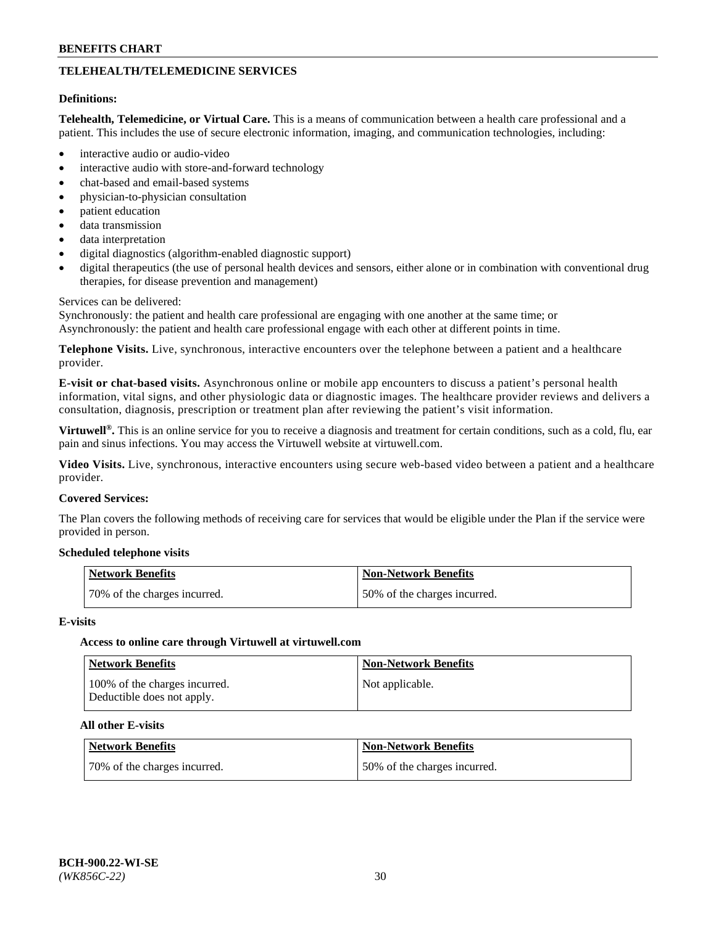## **TELEHEALTH/TELEMEDICINE SERVICES**

#### **Definitions:**

**Telehealth, Telemedicine, or Virtual Care.** This is a means of communication between a health care professional and a patient. This includes the use of secure electronic information, imaging, and communication technologies, including:

- interactive audio or audio-video
- interactive audio with store-and-forward technology
- chat-based and email-based systems
- physician-to-physician consultation
- patient education
- data transmission
- data interpretation
- digital diagnostics (algorithm-enabled diagnostic support)
- digital therapeutics (the use of personal health devices and sensors, either alone or in combination with conventional drug therapies, for disease prevention and management)

#### Services can be delivered:

Synchronously: the patient and health care professional are engaging with one another at the same time; or Asynchronously: the patient and health care professional engage with each other at different points in time.

**Telephone Visits.** Live, synchronous, interactive encounters over the telephone between a patient and a healthcare provider.

**E-visit or chat-based visits.** Asynchronous online or mobile app encounters to discuss a patient's personal health information, vital signs, and other physiologic data or diagnostic images. The healthcare provider reviews and delivers a consultation, diagnosis, prescription or treatment plan after reviewing the patient's visit information.

**Virtuwell®.** This is an online service for you to receive a diagnosis and treatment for certain conditions, such as a cold, flu, ear pain and sinus infections. You may access the Virtuwell website at [virtuwell.com.](https://www.virtuwell.com/)

**Video Visits.** Live, synchronous, interactive encounters using secure web-based video between a patient and a healthcare provider.

#### **Covered Services:**

The Plan covers the following methods of receiving care for services that would be eligible under the Plan if the service were provided in person.

#### **Scheduled telephone visits**

| Network Benefits             | Non-Network Benefits         |
|------------------------------|------------------------------|
| 70% of the charges incurred. | 50% of the charges incurred. |

#### **E-visits**

## **Access to online care through Virtuwell at [virtuwell.com](https://www.virtuwell.com/)**

| <b>Network Benefits</b>                                     | <b>Non-Network Benefits</b> |
|-------------------------------------------------------------|-----------------------------|
| 100% of the charges incurred.<br>Deductible does not apply. | Not applicable.             |

## **All other E-visits**

| Network Benefits             | <b>Non-Network Benefits</b>  |
|------------------------------|------------------------------|
| 70% of the charges incurred. | 50% of the charges incurred. |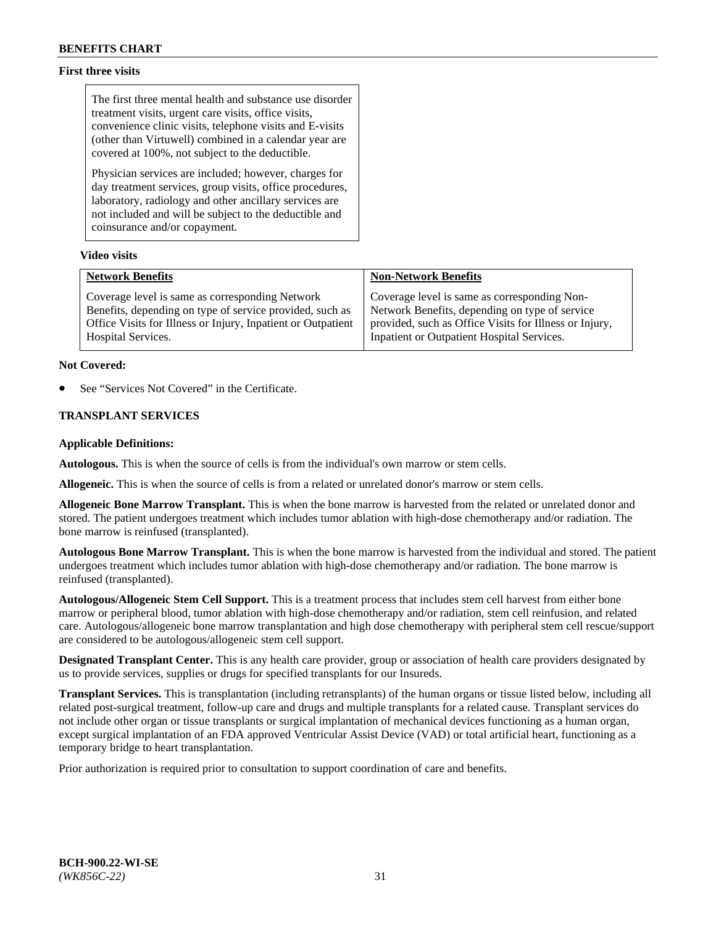## **First three visits**

The first three mental health and substance use disorder treatment visits, urgent care visits, office visits, convenience clinic visits, telephone visits and E-visits (other than Virtuwell) combined in a calendar year are covered at 100%, not subject to the deductible.

Physician services are included; however, charges for day treatment services, group visits, office procedures, laboratory, radiology and other ancillary services are not included and will be subject to the deductible and coinsurance and/or copayment.

## **Video visits**

| <b>Network Benefits</b>                                      | <b>Non-Network Benefits</b>                            |
|--------------------------------------------------------------|--------------------------------------------------------|
| Coverage level is same as corresponding Network              | Coverage level is same as corresponding Non-           |
| Benefits, depending on type of service provided, such as     | Network Benefits, depending on type of service         |
| Office Visits for Illness or Injury, Inpatient or Outpatient | provided, such as Office Visits for Illness or Injury, |
| Hospital Services.                                           | Inpatient or Outpatient Hospital Services.             |

#### **Not Covered:**

See "Services Not Covered" in the Certificate.

## **TRANSPLANT SERVICES**

#### **Applicable Definitions:**

**Autologous.** This is when the source of cells is from the individual's own marrow or stem cells.

**Allogeneic.** This is when the source of cells is from a related or unrelated donor's marrow or stem cells.

**Allogeneic Bone Marrow Transplant.** This is when the bone marrow is harvested from the related or unrelated donor and stored. The patient undergoes treatment which includes tumor ablation with high-dose chemotherapy and/or radiation. The bone marrow is reinfused (transplanted).

**Autologous Bone Marrow Transplant.** This is when the bone marrow is harvested from the individual and stored. The patient undergoes treatment which includes tumor ablation with high-dose chemotherapy and/or radiation. The bone marrow is reinfused (transplanted).

**Autologous/Allogeneic Stem Cell Support.** This is a treatment process that includes stem cell harvest from either bone marrow or peripheral blood, tumor ablation with high-dose chemotherapy and/or radiation, stem cell reinfusion, and related care. Autologous/allogeneic bone marrow transplantation and high dose chemotherapy with peripheral stem cell rescue/support are considered to be autologous/allogeneic stem cell support.

**Designated Transplant Center.** This is any health care provider, group or association of health care providers designated by us to provide services, supplies or drugs for specified transplants for our Insureds.

**Transplant Services.** This is transplantation (including retransplants) of the human organs or tissue listed below, including all related post-surgical treatment, follow-up care and drugs and multiple transplants for a related cause. Transplant services do not include other organ or tissue transplants or surgical implantation of mechanical devices functioning as a human organ, except surgical implantation of an FDA approved Ventricular Assist Device (VAD) or total artificial heart, functioning as a temporary bridge to heart transplantation.

Prior authorization is required prior to consultation to support coordination of care and benefits.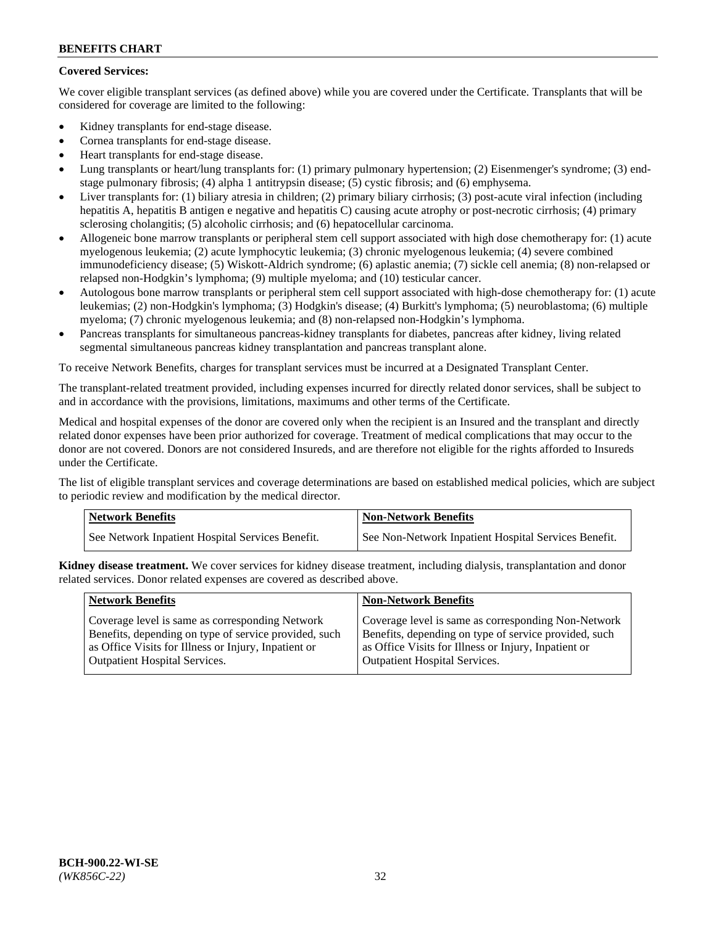## **Covered Services:**

We cover eligible transplant services (as defined above) while you are covered under the Certificate. Transplants that will be considered for coverage are limited to the following:

- Kidney transplants for end-stage disease.
- Cornea transplants for end-stage disease.
- Heart transplants for end-stage disease.
- Lung transplants or heart/lung transplants for: (1) primary pulmonary hypertension; (2) Eisenmenger's syndrome; (3) endstage pulmonary fibrosis; (4) alpha 1 antitrypsin disease; (5) cystic fibrosis; and (6) emphysema.
- Liver transplants for: (1) biliary atresia in children; (2) primary biliary cirrhosis; (3) post-acute viral infection (including hepatitis A, hepatitis B antigen e negative and hepatitis C) causing acute atrophy or post-necrotic cirrhosis; (4) primary sclerosing cholangitis; (5) alcoholic cirrhosis; and (6) hepatocellular carcinoma.
- Allogeneic bone marrow transplants or peripheral stem cell support associated with high dose chemotherapy for: (1) acute myelogenous leukemia; (2) acute lymphocytic leukemia; (3) chronic myelogenous leukemia; (4) severe combined immunodeficiency disease; (5) Wiskott-Aldrich syndrome; (6) aplastic anemia; (7) sickle cell anemia; (8) non-relapsed or relapsed non-Hodgkin's lymphoma; (9) multiple myeloma; and (10) testicular cancer.
- Autologous bone marrow transplants or peripheral stem cell support associated with high-dose chemotherapy for: (1) acute leukemias; (2) non-Hodgkin's lymphoma; (3) Hodgkin's disease; (4) Burkitt's lymphoma; (5) neuroblastoma; (6) multiple myeloma; (7) chronic myelogenous leukemia; and (8) non-relapsed non-Hodgkin's lymphoma.
- Pancreas transplants for simultaneous pancreas-kidney transplants for diabetes, pancreas after kidney, living related segmental simultaneous pancreas kidney transplantation and pancreas transplant alone.

To receive Network Benefits, charges for transplant services must be incurred at a Designated Transplant Center.

The transplant-related treatment provided, including expenses incurred for directly related donor services, shall be subject to and in accordance with the provisions, limitations, maximums and other terms of the Certificate.

Medical and hospital expenses of the donor are covered only when the recipient is an Insured and the transplant and directly related donor expenses have been prior authorized for coverage. Treatment of medical complications that may occur to the donor are not covered. Donors are not considered Insureds, and are therefore not eligible for the rights afforded to Insureds under the Certificate.

The list of eligible transplant services and coverage determinations are based on established medical policies, which are subject to periodic review and modification by the medical director.

| <b>Network Benefits</b>                          | <b>Non-Network Benefits</b>                          |
|--------------------------------------------------|------------------------------------------------------|
| See Network Inpatient Hospital Services Benefit. | See Non-Network Inpatient Hospital Services Benefit. |

**Kidney disease treatment.** We cover services for kidney disease treatment, including dialysis, transplantation and donor related services. Donor related expenses are covered as described above.

| <b>Network Benefits</b>                               | <b>Non-Network Benefits</b>                           |
|-------------------------------------------------------|-------------------------------------------------------|
| Coverage level is same as corresponding Network       | Coverage level is same as corresponding Non-Network   |
| Benefits, depending on type of service provided, such | Benefits, depending on type of service provided, such |
| as Office Visits for Illness or Injury, Inpatient or  | as Office Visits for Illness or Injury, Inpatient or  |
| <b>Outpatient Hospital Services.</b>                  | Outpatient Hospital Services.                         |